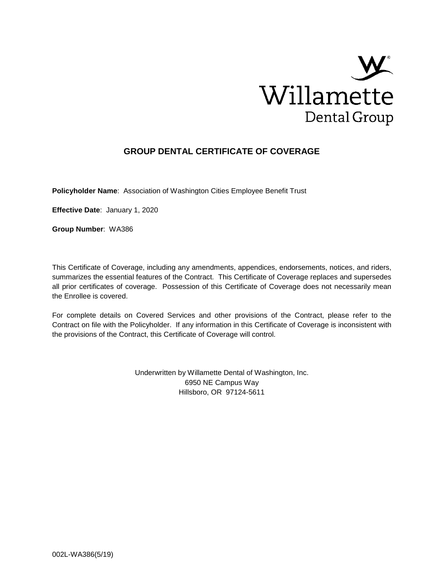

# **GROUP DENTAL CERTIFICATE OF COVERAGE**

**Policyholder Name**: Association of Washington Cities Employee Benefit Trust

**Effective Date**: January 1, 2020

**Group Number**: WA386

This Certificate of Coverage, including any amendments, appendices, endorsements, notices, and riders, summarizes the essential features of the Contract. This Certificate of Coverage replaces and supersedes all prior certificates of coverage. Possession of this Certificate of Coverage does not necessarily mean the Enrollee is covered.

For complete details on Covered Services and other provisions of the Contract, please refer to the Contract on file with the Policyholder. If any information in this Certificate of Coverage is inconsistent with the provisions of the Contract, this Certificate of Coverage will control.

> Underwritten by Willamette Dental of Washington, Inc. 6950 NE Campus Way Hillsboro, OR 97124-5611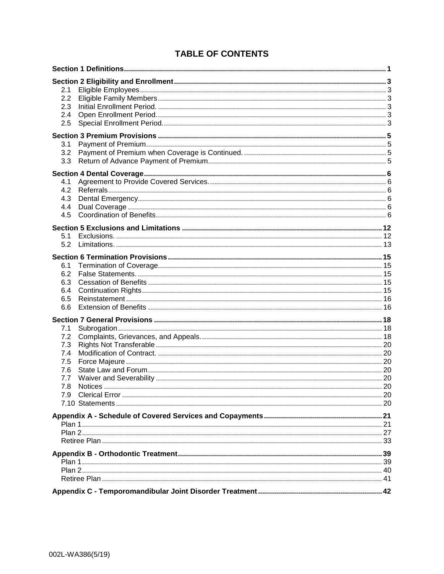# **TABLE OF CONTENTS**

| 2.1<br>2.2<br>2.3<br>2.4<br>2.5                      |  |
|------------------------------------------------------|--|
| 3.1<br>3.2<br>3.3                                    |  |
| 4.1<br>4.2<br>4.3<br>4.4<br>4.5                      |  |
| 5.1<br>5.2                                           |  |
| 6.1<br>6.2<br>6.3<br>6.4<br>6.5<br>6.6               |  |
| 7.1<br>7.2<br>7.3<br>7.4<br>7.5<br>7.6<br>7.7<br>7.8 |  |
|                                                      |  |
|                                                      |  |
|                                                      |  |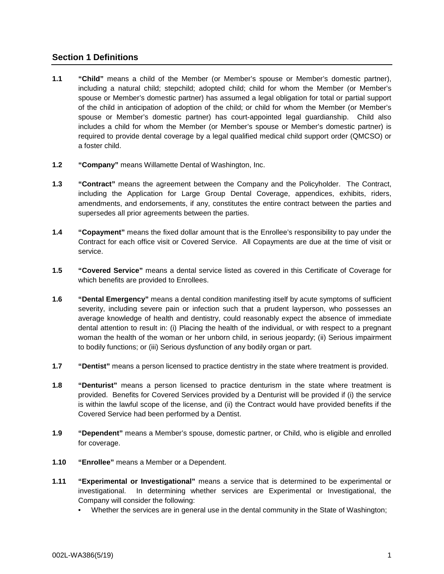# **Section 1 Definitions**

- **1.1 "Child"** means a child of the Member (or Member's spouse or Member's domestic partner), including a natural child; stepchild; adopted child; child for whom the Member (or Member's spouse or Member's domestic partner) has assumed a legal obligation for total or partial support of the child in anticipation of adoption of the child; or child for whom the Member (or Member's spouse or Member's domestic partner) has court-appointed legal guardianship. Child also includes a child for whom the Member (or Member's spouse or Member's domestic partner) is required to provide dental coverage by a legal qualified medical child support order (QMCSO) or a foster child.
- **1.2 "Company"** means Willamette Dental of Washington, Inc.
- **1.3 "Contract"** means the agreement between the Company and the Policyholder. The Contract, including the Application for Large Group Dental Coverage, appendices, exhibits, riders, amendments, and endorsements, if any, constitutes the entire contract between the parties and supersedes all prior agreements between the parties.
- **1.4 "Copayment"** means the fixed dollar amount that is the Enrollee's responsibility to pay under the Contract for each office visit or Covered Service. All Copayments are due at the time of visit or service.
- **1.5 "Covered Service"** means a dental service listed as covered in this Certificate of Coverage for which benefits are provided to Enrollees.
- **1.6 "Dental Emergency"** means a dental condition manifesting itself by acute symptoms of sufficient severity, including severe pain or infection such that a prudent layperson, who possesses an average knowledge of health and dentistry, could reasonably expect the absence of immediate dental attention to result in: (i) Placing the health of the individual, or with respect to a pregnant woman the health of the woman or her unborn child, in serious jeopardy; (ii) Serious impairment to bodily functions; or (iii) Serious dysfunction of any bodily organ or part.
- **1.7 "Dentist"** means a person licensed to practice dentistry in the state where treatment is provided.
- **1.8 "Denturist"** means a person licensed to practice denturism in the state where treatment is provided. Benefits for Covered Services provided by a Denturist will be provided if (i) the service is within the lawful scope of the license, and (ii) the Contract would have provided benefits if the Covered Service had been performed by a Dentist.
- **1.9 "Dependent"** means a Member's spouse, domestic partner, or Child, who is eligible and enrolled for coverage.
- **1.10 "Enrollee"** means a Member or a Dependent.
- **1.11 "Experimental or Investigational"** means a service that is determined to be experimental or investigational. In determining whether services are Experimental or Investigational, the Company will consider the following:
	- Whether the services are in general use in the dental community in the State of Washington;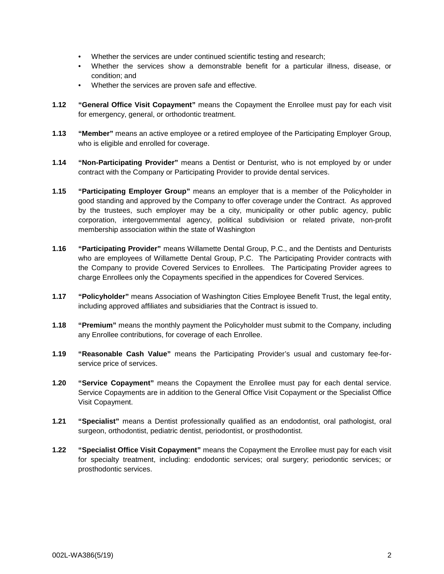- Whether the services are under continued scientific testing and research;
- Whether the services show a demonstrable benefit for a particular illness, disease, or condition; and
- Whether the services are proven safe and effective.
- **1.12 "General Office Visit Copayment"** means the Copayment the Enrollee must pay for each visit for emergency, general, or orthodontic treatment.
- **1.13 "Member"** means an active employee or a retired employee of the Participating Employer Group, who is eligible and enrolled for coverage.
- **1.14 "Non-Participating Provider"** means a Dentist or Denturist, who is not employed by or under contract with the Company or Participating Provider to provide dental services.
- **1.15 "Participating Employer Group"** means an employer that is a member of the Policyholder in good standing and approved by the Company to offer coverage under the Contract. As approved by the trustees, such employer may be a city, municipality or other public agency, public corporation, intergovernmental agency, political subdivision or related private, non-profit membership association within the state of Washington
- **1.16 "Participating Provider"** means Willamette Dental Group, P.C., and the Dentists and Denturists who are employees of Willamette Dental Group, P.C. The Participating Provider contracts with the Company to provide Covered Services to Enrollees. The Participating Provider agrees to charge Enrollees only the Copayments specified in the appendices for Covered Services.
- **1.17 "Policyholder"** means Association of Washington Cities Employee Benefit Trust, the legal entity, including approved affiliates and subsidiaries that the Contract is issued to.
- **1.18 "Premium"** means the monthly payment the Policyholder must submit to the Company, including any Enrollee contributions, for coverage of each Enrollee.
- **1.19 "Reasonable Cash Value"** means the Participating Provider's usual and customary fee-forservice price of services.
- **1.20 "Service Copayment"** means the Copayment the Enrollee must pay for each dental service. Service Copayments are in addition to the General Office Visit Copayment or the Specialist Office Visit Copayment.
- **1.21 "Specialist"** means a Dentist professionally qualified as an endodontist, oral pathologist, oral surgeon, orthodontist, pediatric dentist, periodontist, or prosthodontist.
- **1.22 "Specialist Office Visit Copayment"** means the Copayment the Enrollee must pay for each visit for specialty treatment, including: endodontic services; oral surgery; periodontic services; or prosthodontic services.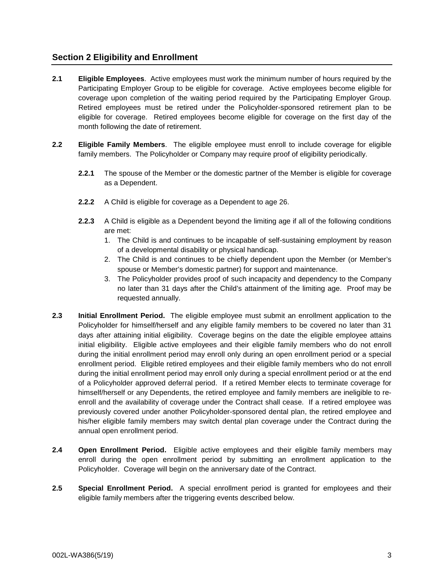# **Section 2 Eligibility and Enrollment**

- **2.1 Eligible Employees**. Active employees must work the minimum number of hours required by the Participating Employer Group to be eligible for coverage. Active employees become eligible for coverage upon completion of the waiting period required by the Participating Employer Group. Retired employees must be retired under the Policyholder-sponsored retirement plan to be eligible for coverage. Retired employees become eligible for coverage on the first day of the month following the date of retirement.
- **2.2 Eligible Family Members**. The eligible employee must enroll to include coverage for eligible family members. The Policyholder or Company may require proof of eligibility periodically.
	- **2.2.1** The spouse of the Member or the domestic partner of the Member is eligible for coverage as a Dependent.
	- **2.2.2** A Child is eligible for coverage as a Dependent to age 26.
	- **2.2.3** A Child is eligible as a Dependent beyond the limiting age if all of the following conditions are met:
		- 1. The Child is and continues to be incapable of self-sustaining employment by reason of a developmental disability or physical handicap.
		- 2. The Child is and continues to be chiefly dependent upon the Member (or Member's spouse or Member's domestic partner) for support and maintenance.
		- 3. The Policyholder provides proof of such incapacity and dependency to the Company no later than 31 days after the Child's attainment of the limiting age. Proof may be requested annually.
- **2.3 Initial Enrollment Period.** The eligible employee must submit an enrollment application to the Policyholder for himself/herself and any eligible family members to be covered no later than 31 days after attaining initial eligibility. Coverage begins on the date the eligible employee attains initial eligibility. Eligible active employees and their eligible family members who do not enroll during the initial enrollment period may enroll only during an open enrollment period or a special enrollment period. Eligible retired employees and their eligible family members who do not enroll during the initial enrollment period may enroll only during a special enrollment period or at the end of a Policyholder approved deferral period. If a retired Member elects to terminate coverage for himself/herself or any Dependents, the retired employee and family members are ineligible to reenroll and the availability of coverage under the Contract shall cease. If a retired employee was previously covered under another Policyholder-sponsored dental plan, the retired employee and his/her eligible family members may switch dental plan coverage under the Contract during the annual open enrollment period.
- **2.4 Open Enrollment Period.** Eligible active employees and their eligible family members may enroll during the open enrollment period by submitting an enrollment application to the Policyholder. Coverage will begin on the anniversary date of the Contract.
- **2.5 Special Enrollment Period.** A special enrollment period is granted for employees and their eligible family members after the triggering events described below.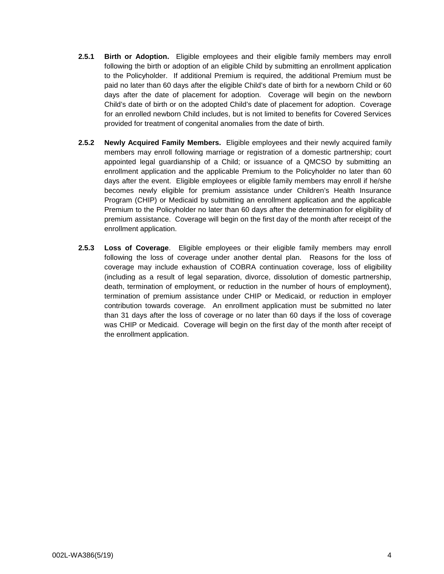- **2.5.1 Birth or Adoption.** Eligible employees and their eligible family members may enroll following the birth or adoption of an eligible Child by submitting an enrollment application to the Policyholder. If additional Premium is required, the additional Premium must be paid no later than 60 days after the eligible Child's date of birth for a newborn Child or 60 days after the date of placement for adoption. Coverage will begin on the newborn Child's date of birth or on the adopted Child's date of placement for adoption. Coverage for an enrolled newborn Child includes, but is not limited to benefits for Covered Services provided for treatment of congenital anomalies from the date of birth.
- **2.5.2 Newly Acquired Family Members.** Eligible employees and their newly acquired family members may enroll following marriage or registration of a domestic partnership; court appointed legal guardianship of a Child; or issuance of a QMCSO by submitting an enrollment application and the applicable Premium to the Policyholder no later than 60 days after the event. Eligible employees or eligible family members may enroll if he/she becomes newly eligible for premium assistance under Children's Health Insurance Program (CHIP) or Medicaid by submitting an enrollment application and the applicable Premium to the Policyholder no later than 60 days after the determination for eligibility of premium assistance. Coverage will begin on the first day of the month after receipt of the enrollment application.
- **2.5.3 Loss of Coverage**. Eligible employees or their eligible family members may enroll following the loss of coverage under another dental plan. Reasons for the loss of coverage may include exhaustion of COBRA continuation coverage, loss of eligibility (including as a result of legal separation, divorce, dissolution of domestic partnership, death, termination of employment, or reduction in the number of hours of employment), termination of premium assistance under CHIP or Medicaid, or reduction in employer contribution towards coverage. An enrollment application must be submitted no later than 31 days after the loss of coverage or no later than 60 days if the loss of coverage was CHIP or Medicaid.Coverage will begin on the first day of the month after receipt of the enrollment application.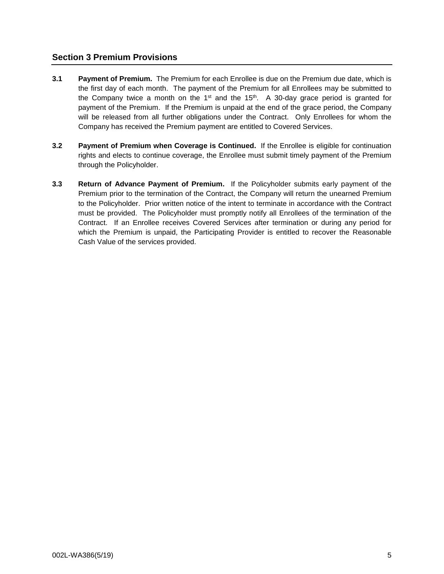# **Section 3 Premium Provisions**

- **3.1 Payment of Premium.** The Premium for each Enrollee is due on the Premium due date, which is the first day of each month. The payment of the Premium for all Enrollees may be submitted to the Company twice a month on the  $1<sup>st</sup>$  and the  $15<sup>th</sup>$ . A 30-day grace period is granted for payment of the Premium. If the Premium is unpaid at the end of the grace period, the Company will be released from all further obligations under the Contract. Only Enrollees for whom the Company has received the Premium payment are entitled to Covered Services.
- **3.2 Payment of Premium when Coverage is Continued.** If the Enrollee is eligible for continuation rights and elects to continue coverage, the Enrollee must submit timely payment of the Premium through the Policyholder.
- **3.3 Return of Advance Payment of Premium.** If the Policyholder submits early payment of the Premium prior to the termination of the Contract, the Company will return the unearned Premium to the Policyholder. Prior written notice of the intent to terminate in accordance with the Contract must be provided. The Policyholder must promptly notify all Enrollees of the termination of the Contract. If an Enrollee receives Covered Services after termination or during any period for which the Premium is unpaid, the Participating Provider is entitled to recover the Reasonable Cash Value of the services provided.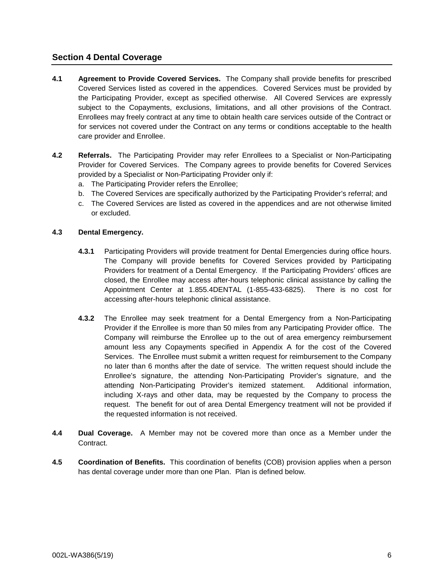## **Section 4 Dental Coverage**

- **4.1 Agreement to Provide Covered Services.** The Company shall provide benefits for prescribed Covered Services listed as covered in the appendices. Covered Services must be provided by the Participating Provider, except as specified otherwise. All Covered Services are expressly subject to the Copayments, exclusions, limitations, and all other provisions of the Contract. Enrollees may freely contract at any time to obtain health care services outside of the Contract or for services not covered under the Contract on any terms or conditions acceptable to the health care provider and Enrollee.
- **4.2 Referrals.** The Participating Provider may refer Enrollees to a Specialist or Non-Participating Provider for Covered Services. The Company agrees to provide benefits for Covered Services provided by a Specialist or Non-Participating Provider only if:
	- a. The Participating Provider refers the Enrollee;
	- b. The Covered Services are specifically authorized by the Participating Provider's referral; and
	- c. The Covered Services are listed as covered in the appendices and are not otherwise limited or excluded.

## **4.3 Dental Emergency.**

- **4.3.1** Participating Providers will provide treatment for Dental Emergencies during office hours. The Company will provide benefits for Covered Services provided by Participating Providers for treatment of a Dental Emergency. If the Participating Providers' offices are closed, the Enrollee may access after-hours telephonic clinical assistance by calling the Appointment Center at 1.855.4DENTAL (1-855-433-6825). There is no cost for accessing after-hours telephonic clinical assistance.
- **4.3.2** The Enrollee may seek treatment for a Dental Emergency from a Non-Participating Provider if the Enrollee is more than 50 miles from any Participating Provider office. The Company will reimburse the Enrollee up to the out of area emergency reimbursement amount less any Copayments specified in Appendix A for the cost of the Covered Services. The Enrollee must submit a written request for reimbursement to the Company no later than 6 months after the date of service. The written request should include the Enrollee's signature, the attending Non-Participating Provider's signature, and the attending Non-Participating Provider's itemized statement. Additional information, including X-rays and other data, may be requested by the Company to process the request. The benefit for out of area Dental Emergency treatment will not be provided if the requested information is not received.
- **4.4 Dual Coverage.** A Member may not be covered more than once as a Member under the Contract.
- **4.5 Coordination of Benefits.** This coordination of benefits (COB) provision applies when a person has dental coverage under more than one Plan. Plan is defined below.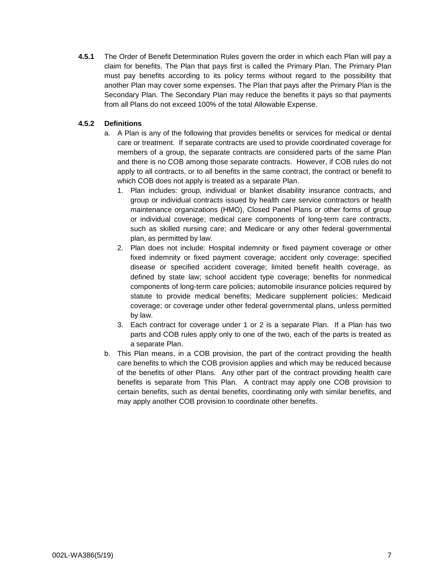**4.5.1** The Order of Benefit Determination Rules govern the order in which each Plan will pay a claim for benefits. The Plan that pays first is called the Primary Plan. The Primary Plan must pay benefits according to its policy terms without regard to the possibility that another Plan may cover some expenses. The Plan that pays after the Primary Plan is the Secondary Plan. The Secondary Plan may reduce the benefits it pays so that payments from all Plans do not exceed 100% of the total Allowable Expense.

## **4.5.2 Definitions**

- a. A Plan is any of the following that provides benefits or services for medical or dental care or treatment. If separate contracts are used to provide coordinated coverage for members of a group, the separate contracts are considered parts of the same Plan and there is no COB among those separate contracts. However, if COB rules do not apply to all contracts, or to all benefits in the same contract, the contract or benefit to which COB does not apply is treated as a separate Plan.
	- 1. Plan includes: group, individual or blanket disability insurance contracts, and group or individual contracts issued by health care service contractors or health maintenance organizations (HMO), Closed Panel Plans or other forms of group or individual coverage; medical care components of long-term care contracts, such as skilled nursing care; and Medicare or any other federal governmental plan, as permitted by law.
	- 2. Plan does not include: Hospital indemnity or fixed payment coverage or other fixed indemnity or fixed payment coverage; accident only coverage; specified disease or specified accident coverage; limited benefit health coverage, as defined by state law; school accident type coverage; benefits for nonmedical components of long-term care policies; automobile insurance policies required by statute to provide medical benefits; Medicare supplement policies; Medicaid coverage; or coverage under other federal governmental plans, unless permitted by law.
	- 3. Each contract for coverage under 1 or 2 is a separate Plan. If a Plan has two parts and COB rules apply only to one of the two, each of the parts is treated as a separate Plan.
- b. This Plan means, in a COB provision, the part of the contract providing the health care benefits to which the COB provision applies and which may be reduced because of the benefits of other Plans. Any other part of the contract providing health care benefits is separate from This Plan. A contract may apply one COB provision to certain benefits, such as dental benefits, coordinating only with similar benefits, and may apply another COB provision to coordinate other benefits.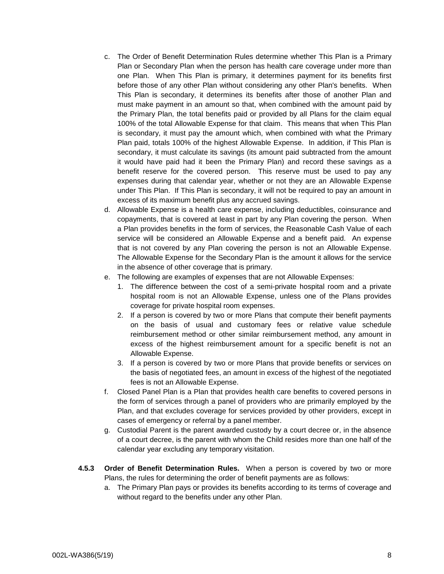- c. The Order of Benefit Determination Rules determine whether This Plan is a Primary Plan or Secondary Plan when the person has health care coverage under more than one Plan. When This Plan is primary, it determines payment for its benefits first before those of any other Plan without considering any other Plan's benefits. When This Plan is secondary, it determines its benefits after those of another Plan and must make payment in an amount so that, when combined with the amount paid by the Primary Plan, the total benefits paid or provided by all Plans for the claim equal 100% of the total Allowable Expense for that claim. This means that when This Plan is secondary, it must pay the amount which, when combined with what the Primary Plan paid, totals 100% of the highest Allowable Expense. In addition, if This Plan is secondary, it must calculate its savings (its amount paid subtracted from the amount it would have paid had it been the Primary Plan) and record these savings as a benefit reserve for the covered person. This reserve must be used to pay any expenses during that calendar year, whether or not they are an Allowable Expense under This Plan. If This Plan is secondary, it will not be required to pay an amount in excess of its maximum benefit plus any accrued savings.
- d. Allowable Expense is a health care expense, including deductibles, coinsurance and copayments, that is covered at least in part by any Plan covering the person. When a Plan provides benefits in the form of services, the Reasonable Cash Value of each service will be considered an Allowable Expense and a benefit paid. An expense that is not covered by any Plan covering the person is not an Allowable Expense. The Allowable Expense for the Secondary Plan is the amount it allows for the service in the absence of other coverage that is primary.
- e. The following are examples of expenses that are not Allowable Expenses:
	- 1. The difference between the cost of a semi-private hospital room and a private hospital room is not an Allowable Expense, unless one of the Plans provides coverage for private hospital room expenses.
	- 2. If a person is covered by two or more Plans that compute their benefit payments on the basis of usual and customary fees or relative value schedule reimbursement method or other similar reimbursement method, any amount in excess of the highest reimbursement amount for a specific benefit is not an Allowable Expense.
	- 3. If a person is covered by two or more Plans that provide benefits or services on the basis of negotiated fees, an amount in excess of the highest of the negotiated fees is not an Allowable Expense.
- f. Closed Panel Plan is a Plan that provides health care benefits to covered persons in the form of services through a panel of providers who are primarily employed by the Plan, and that excludes coverage for services provided by other providers, except in cases of emergency or referral by a panel member.
- g. Custodial Parent is the parent awarded custody by a court decree or, in the absence of a court decree, is the parent with whom the Child resides more than one half of the calendar year excluding any temporary visitation.
- **4.5.3 Order of Benefit Determination Rules.** When a person is covered by two or more Plans, the rules for determining the order of benefit payments are as follows:
	- a. The Primary Plan pays or provides its benefits according to its terms of coverage and without regard to the benefits under any other Plan.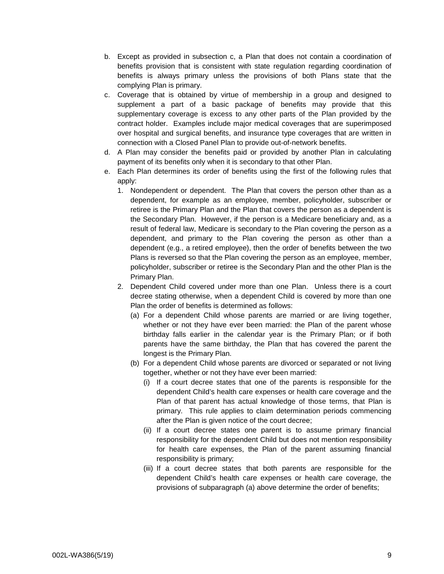- b. Except as provided in subsection c, a Plan that does not contain a coordination of benefits provision that is consistent with state regulation regarding coordination of benefits is always primary unless the provisions of both Plans state that the complying Plan is primary.
- c. Coverage that is obtained by virtue of membership in a group and designed to supplement a part of a basic package of benefits may provide that this supplementary coverage is excess to any other parts of the Plan provided by the contract holder. Examples include major medical coverages that are superimposed over hospital and surgical benefits, and insurance type coverages that are written in connection with a Closed Panel Plan to provide out-of-network benefits.
- d. A Plan may consider the benefits paid or provided by another Plan in calculating payment of its benefits only when it is secondary to that other Plan.
- e. Each Plan determines its order of benefits using the first of the following rules that apply:
	- 1. Nondependent or dependent. The Plan that covers the person other than as a dependent, for example as an employee, member, policyholder, subscriber or retiree is the Primary Plan and the Plan that covers the person as a dependent is the Secondary Plan. However, if the person is a Medicare beneficiary and, as a result of federal law, Medicare is secondary to the Plan covering the person as a dependent, and primary to the Plan covering the person as other than a dependent (e.g., a retired employee), then the order of benefits between the two Plans is reversed so that the Plan covering the person as an employee, member, policyholder, subscriber or retiree is the Secondary Plan and the other Plan is the Primary Plan.
	- 2. Dependent Child covered under more than one Plan. Unless there is a court decree stating otherwise, when a dependent Child is covered by more than one Plan the order of benefits is determined as follows:
		- (a) For a dependent Child whose parents are married or are living together, whether or not they have ever been married: the Plan of the parent whose birthday falls earlier in the calendar year is the Primary Plan; or if both parents have the same birthday, the Plan that has covered the parent the longest is the Primary Plan.
		- (b) For a dependent Child whose parents are divorced or separated or not living together, whether or not they have ever been married:
			- (i) If a court decree states that one of the parents is responsible for the dependent Child's health care expenses or health care coverage and the Plan of that parent has actual knowledge of those terms, that Plan is primary. This rule applies to claim determination periods commencing after the Plan is given notice of the court decree;
			- (ii) If a court decree states one parent is to assume primary financial responsibility for the dependent Child but does not mention responsibility for health care expenses, the Plan of the parent assuming financial responsibility is primary;
			- (iii) If a court decree states that both parents are responsible for the dependent Child's health care expenses or health care coverage, the provisions of subparagraph (a) above determine the order of benefits;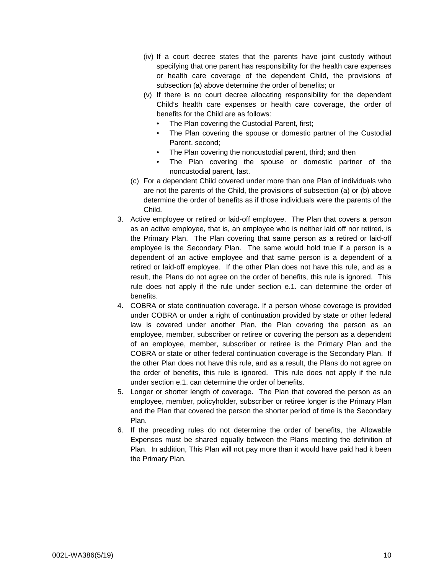- (iv) If a court decree states that the parents have joint custody without specifying that one parent has responsibility for the health care expenses or health care coverage of the dependent Child, the provisions of subsection (a) above determine the order of benefits; or
- (v) If there is no court decree allocating responsibility for the dependent Child's health care expenses or health care coverage, the order of benefits for the Child are as follows:
	- The Plan covering the Custodial Parent, first;
	- The Plan covering the spouse or domestic partner of the Custodial Parent, second;
	- The Plan covering the noncustodial parent, third; and then
	- The Plan covering the spouse or domestic partner of the noncustodial parent, last.
- (c) For a dependent Child covered under more than one Plan of individuals who are not the parents of the Child, the provisions of subsection (a) or (b) above determine the order of benefits as if those individuals were the parents of the Child.
- 3. Active employee or retired or laid-off employee. The Plan that covers a person as an active employee, that is, an employee who is neither laid off nor retired, is the Primary Plan. The Plan covering that same person as a retired or laid-off employee is the Secondary Plan. The same would hold true if a person is a dependent of an active employee and that same person is a dependent of a retired or laid-off employee. If the other Plan does not have this rule, and as a result, the Plans do not agree on the order of benefits, this rule is ignored. This rule does not apply if the rule under section e.1. can determine the order of benefits.
- 4. COBRA or state continuation coverage. If a person whose coverage is provided under COBRA or under a right of continuation provided by state or other federal law is covered under another Plan, the Plan covering the person as an employee, member, subscriber or retiree or covering the person as a dependent of an employee, member, subscriber or retiree is the Primary Plan and the COBRA or state or other federal continuation coverage is the Secondary Plan. If the other Plan does not have this rule, and as a result, the Plans do not agree on the order of benefits, this rule is ignored. This rule does not apply if the rule under section e.1. can determine the order of benefits.
- 5. Longer or shorter length of coverage. The Plan that covered the person as an employee, member, policyholder, subscriber or retiree longer is the Primary Plan and the Plan that covered the person the shorter period of time is the Secondary Plan.
- 6. If the preceding rules do not determine the order of benefits, the Allowable Expenses must be shared equally between the Plans meeting the definition of Plan. In addition, This Plan will not pay more than it would have paid had it been the Primary Plan.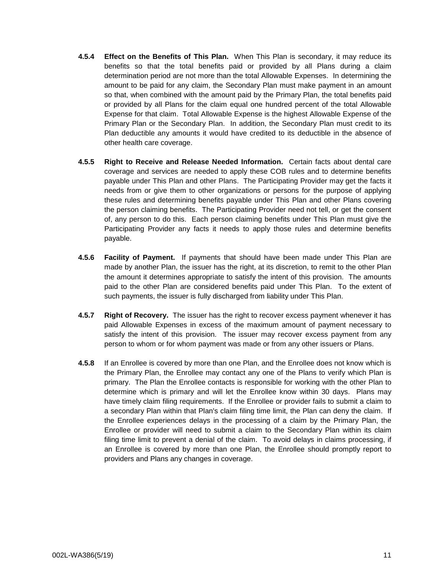- **4.5.4 Effect on the Benefits of This Plan.** When This Plan is secondary, it may reduce its benefits so that the total benefits paid or provided by all Plans during a claim determination period are not more than the total Allowable Expenses. In determining the amount to be paid for any claim, the Secondary Plan must make payment in an amount so that, when combined with the amount paid by the Primary Plan, the total benefits paid or provided by all Plans for the claim equal one hundred percent of the total Allowable Expense for that claim. Total Allowable Expense is the highest Allowable Expense of the Primary Plan or the Secondary Plan. In addition, the Secondary Plan must credit to its Plan deductible any amounts it would have credited to its deductible in the absence of other health care coverage.
- **4.5.5 Right to Receive and Release Needed Information.** Certain facts about dental care coverage and services are needed to apply these COB rules and to determine benefits payable under This Plan and other Plans. The Participating Provider may get the facts it needs from or give them to other organizations or persons for the purpose of applying these rules and determining benefits payable under This Plan and other Plans covering the person claiming benefits. The Participating Provider need not tell, or get the consent of, any person to do this. Each person claiming benefits under This Plan must give the Participating Provider any facts it needs to apply those rules and determine benefits payable.
- **4.5.6 Facility of Payment.** If payments that should have been made under This Plan are made by another Plan, the issuer has the right, at its discretion, to remit to the other Plan the amount it determines appropriate to satisfy the intent of this provision. The amounts paid to the other Plan are considered benefits paid under This Plan. To the extent of such payments, the issuer is fully discharged from liability under This Plan.
- **4.5.7 Right of Recovery.** The issuer has the right to recover excess payment whenever it has paid Allowable Expenses in excess of the maximum amount of payment necessary to satisfy the intent of this provision. The issuer may recover excess payment from any person to whom or for whom payment was made or from any other issuers or Plans.
- **4.5.8** If an Enrollee is covered by more than one Plan, and the Enrollee does not know which is the Primary Plan, the Enrollee may contact any one of the Plans to verify which Plan is primary. The Plan the Enrollee contacts is responsible for working with the other Plan to determine which is primary and will let the Enrollee know within 30 days. Plans may have timely claim filing requirements. If the Enrollee or provider fails to submit a claim to a secondary Plan within that Plan's claim filing time limit, the Plan can deny the claim. If the Enrollee experiences delays in the processing of a claim by the Primary Plan, the Enrollee or provider will need to submit a claim to the Secondary Plan within its claim filing time limit to prevent a denial of the claim. To avoid delays in claims processing, if an Enrollee is covered by more than one Plan, the Enrollee should promptly report to providers and Plans any changes in coverage.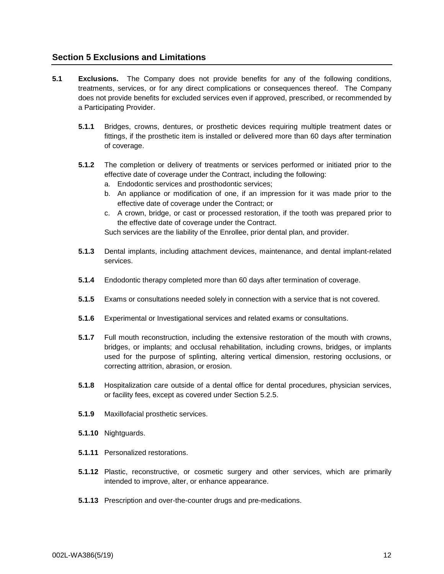# **Section 5 Exclusions and Limitations**

- **5.1 Exclusions.** The Company does not provide benefits for any of the following conditions, treatments, services, or for any direct complications or consequences thereof. The Company does not provide benefits for excluded services even if approved, prescribed, or recommended by a Participating Provider.
	- **5.1.1** Bridges, crowns, dentures, or prosthetic devices requiring multiple treatment dates or fittings, if the prosthetic item is installed or delivered more than 60 days after termination of coverage.
	- **5.1.2** The completion or delivery of treatments or services performed or initiated prior to the effective date of coverage under the Contract, including the following:
		- a. Endodontic services and prosthodontic services;
		- b. An appliance or modification of one, if an impression for it was made prior to the effective date of coverage under the Contract; or
		- c. A crown, bridge, or cast or processed restoration, if the tooth was prepared prior to the effective date of coverage under the Contract.

Such services are the liability of the Enrollee, prior dental plan, and provider.

- **5.1.3** Dental implants, including attachment devices, maintenance, and dental implant-related services.
- **5.1.4** Endodontic therapy completed more than 60 days after termination of coverage.
- **5.1.5** Exams or consultations needed solely in connection with a service that is not covered.
- **5.1.6** Experimental or Investigational services and related exams or consultations.
- **5.1.7** Full mouth reconstruction, including the extensive restoration of the mouth with crowns, bridges, or implants; and occlusal rehabilitation, including crowns, bridges, or implants used for the purpose of splinting, altering vertical dimension, restoring occlusions, or correcting attrition, abrasion, or erosion.
- **5.1.8** Hospitalization care outside of a dental office for dental procedures, physician services, or facility fees, except as covered under Section 5.2.5.
- **5.1.9** Maxillofacial prosthetic services.
- **5.1.10** Nightguards.
- **5.1.11** Personalized restorations.
- **5.1.12** Plastic, reconstructive, or cosmetic surgery and other services, which are primarily intended to improve, alter, or enhance appearance.
- **5.1.13** Prescription and over-the-counter drugs and pre-medications.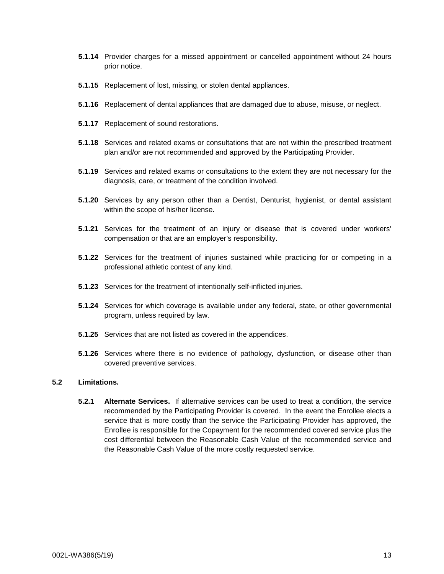- **5.1.14** Provider charges for a missed appointment or cancelled appointment without 24 hours prior notice.
- **5.1.15** Replacement of lost, missing, or stolen dental appliances.
- **5.1.16** Replacement of dental appliances that are damaged due to abuse, misuse, or neglect.
- **5.1.17** Replacement of sound restorations.
- **5.1.18** Services and related exams or consultations that are not within the prescribed treatment plan and/or are not recommended and approved by the Participating Provider.
- **5.1.19** Services and related exams or consultations to the extent they are not necessary for the diagnosis, care, or treatment of the condition involved.
- **5.1.20** Services by any person other than a Dentist, Denturist, hygienist, or dental assistant within the scope of his/her license.
- **5.1.21** Services for the treatment of an injury or disease that is covered under workers' compensation or that are an employer's responsibility.
- **5.1.22** Services for the treatment of injuries sustained while practicing for or competing in a professional athletic contest of any kind.
- **5.1.23** Services for the treatment of intentionally self-inflicted injuries.
- **5.1.24** Services for which coverage is available under any federal, state, or other governmental program, unless required by law.
- **5.1.25** Services that are not listed as covered in the appendices.
- **5.1.26** Services where there is no evidence of pathology, dysfunction, or disease other than covered preventive services.

## **5.2 Limitations.**

**5.2.1 Alternate Services.** If alternative services can be used to treat a condition, the service recommended by the Participating Provider is covered. In the event the Enrollee elects a service that is more costly than the service the Participating Provider has approved, the Enrollee is responsible for the Copayment for the recommended covered service plus the cost differential between the Reasonable Cash Value of the recommended service and the Reasonable Cash Value of the more costly requested service.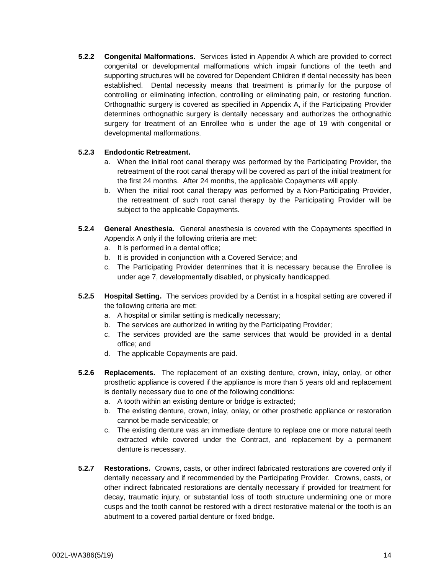**5.2.2 Congenital Malformations.** Services listed in Appendix A which are provided to correct congenital or developmental malformations which impair functions of the teeth and supporting structures will be covered for Dependent Children if dental necessity has been established. Dental necessity means that treatment is primarily for the purpose of controlling or eliminating infection, controlling or eliminating pain, or restoring function. Orthognathic surgery is covered as specified in Appendix A, if the Participating Provider determines orthognathic surgery is dentally necessary and authorizes the orthognathic surgery for treatment of an Enrollee who is under the age of 19 with congenital or developmental malformations.

## **5.2.3 Endodontic Retreatment.**

- a. When the initial root canal therapy was performed by the Participating Provider, the retreatment of the root canal therapy will be covered as part of the initial treatment for the first 24 months. After 24 months, the applicable Copayments will apply.
- b. When the initial root canal therapy was performed by a Non-Participating Provider, the retreatment of such root canal therapy by the Participating Provider will be subject to the applicable Copayments.
- **5.2.4 General Anesthesia.** General anesthesia is covered with the Copayments specified in Appendix A only if the following criteria are met:
	- a. It is performed in a dental office;
	- b. It is provided in conjunction with a Covered Service; and
	- c. The Participating Provider determines that it is necessary because the Enrollee is under age 7, developmentally disabled, or physically handicapped.
- **5.2.5 Hospital Setting.** The services provided by a Dentist in a hospital setting are covered if the following criteria are met:
	- a. A hospital or similar setting is medically necessary;
	- b. The services are authorized in writing by the Participating Provider;
	- c. The services provided are the same services that would be provided in a dental office; and
	- d. The applicable Copayments are paid.
- **5.2.6 Replacements.** The replacement of an existing denture, crown, inlay, onlay, or other prosthetic appliance is covered if the appliance is more than 5 years old and replacement is dentally necessary due to one of the following conditions:
	- a. A tooth within an existing denture or bridge is extracted;
	- b. The existing denture, crown, inlay, onlay, or other prosthetic appliance or restoration cannot be made serviceable; or
	- c. The existing denture was an immediate denture to replace one or more natural teeth extracted while covered under the Contract, and replacement by a permanent denture is necessary.
- **5.2.7 Restorations.** Crowns, casts, or other indirect fabricated restorations are covered only if dentally necessary and if recommended by the Participating Provider. Crowns, casts, or other indirect fabricated restorations are dentally necessary if provided for treatment for decay, traumatic injury, or substantial loss of tooth structure undermining one or more cusps and the tooth cannot be restored with a direct restorative material or the tooth is an abutment to a covered partial denture or fixed bridge.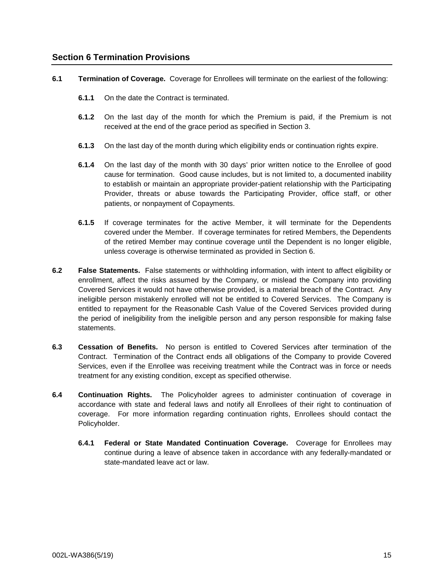## **Section 6 Termination Provisions**

**6.1 Termination of Coverage.** Coverage for Enrollees will terminate on the earliest of the following:

- **6.1.1** On the date the Contract is terminated.
- **6.1.2** On the last day of the month for which the Premium is paid, if the Premium is not received at the end of the grace period as specified in Section 3.
- **6.1.3** On the last day of the month during which eligibility ends or continuation rights expire.
- **6.1.4** On the last day of the month with 30 days' prior written notice to the Enrollee of good cause for termination. Good cause includes, but is not limited to, a documented inability to establish or maintain an appropriate provider-patient relationship with the Participating Provider, threats or abuse towards the Participating Provider, office staff, or other patients, or nonpayment of Copayments.
- **6.1.5** If coverage terminates for the active Member, it will terminate for the Dependents covered under the Member. If coverage terminates for retired Members, the Dependents of the retired Member may continue coverage until the Dependent is no longer eligible, unless coverage is otherwise terminated as provided in Section 6.
- **6.2 False Statements.** False statements or withholding information, with intent to affect eligibility or enrollment, affect the risks assumed by the Company, or mislead the Company into providing Covered Services it would not have otherwise provided, is a material breach of the Contract. Any ineligible person mistakenly enrolled will not be entitled to Covered Services. The Company is entitled to repayment for the Reasonable Cash Value of the Covered Services provided during the period of ineligibility from the ineligible person and any person responsible for making false statements.
- **6.3 Cessation of Benefits.** No person is entitled to Covered Services after termination of the Contract. Termination of the Contract ends all obligations of the Company to provide Covered Services, even if the Enrollee was receiving treatment while the Contract was in force or needs treatment for any existing condition, except as specified otherwise.
- **6.4 Continuation Rights.** The Policyholder agrees to administer continuation of coverage in accordance with state and federal laws and notify all Enrollees of their right to continuation of coverage. For more information regarding continuation rights, Enrollees should contact the Policyholder.
	- **6.4.1 Federal or State Mandated Continuation Coverage.** Coverage for Enrollees may continue during a leave of absence taken in accordance with any federally-mandated or state-mandated leave act or law.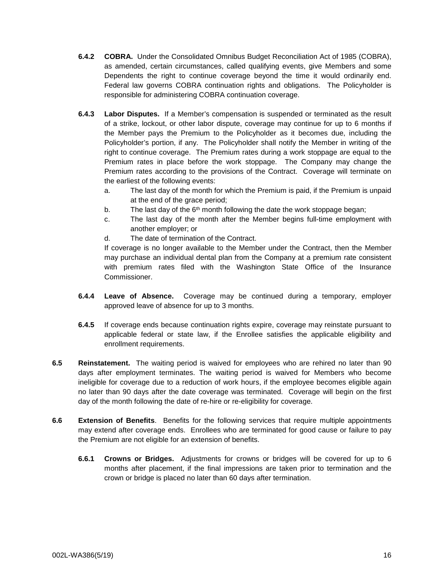- **6.4.2 COBRA.** Under the Consolidated Omnibus Budget Reconciliation Act of 1985 (COBRA), as amended, certain circumstances, called qualifying events, give Members and some Dependents the right to continue coverage beyond the time it would ordinarily end. Federal law governs COBRA continuation rights and obligations. The Policyholder is responsible for administering COBRA continuation coverage.
- **6.4.3 Labor Disputes.** If a Member's compensation is suspended or terminated as the result of a strike, lockout, or other labor dispute, coverage may continue for up to 6 months if the Member pays the Premium to the Policyholder as it becomes due, including the Policyholder's portion, if any. The Policyholder shall notify the Member in writing of the right to continue coverage. The Premium rates during a work stoppage are equal to the Premium rates in place before the work stoppage. The Company may change the Premium rates according to the provisions of the Contract. Coverage will terminate on the earliest of the following events:
	- a. The last day of the month for which the Premium is paid, if the Premium is unpaid at the end of the grace period;
	- b. The last day of the  $6<sup>th</sup>$  month following the date the work stoppage began;
	- c. The last day of the month after the Member begins full-time employment with another employer; or
	- d. The date of termination of the Contract.

If coverage is no longer available to the Member under the Contract, then the Member may purchase an individual dental plan from the Company at a premium rate consistent with premium rates filed with the Washington State Office of the Insurance Commissioner.

- **6.4.4 Leave of Absence.** Coverage may be continued during a temporary, employer approved leave of absence for up to 3 months.
- **6.4.5** If coverage ends because continuation rights expire, coverage may reinstate pursuant to applicable federal or state law, if the Enrollee satisfies the applicable eligibility and enrollment requirements.
- **6.5 Reinstatement.** The waiting period is waived for employees who are rehired no later than 90 days after employment terminates. The waiting period is waived for Members who become ineligible for coverage due to a reduction of work hours, if the employee becomes eligible again no later than 90 days after the date coverage was terminated. Coverage will begin on the first day of the month following the date of re-hire or re-eligibility for coverage.
- **6.6 Extension of Benefits**. Benefits for the following services that require multiple appointments may extend after coverage ends. Enrollees who are terminated for good cause or failure to pay the Premium are not eligible for an extension of benefits.
	- **6.6.1 Crowns or Bridges.** Adjustments for crowns or bridges will be covered for up to 6 months after placement, if the final impressions are taken prior to termination and the crown or bridge is placed no later than 60 days after termination.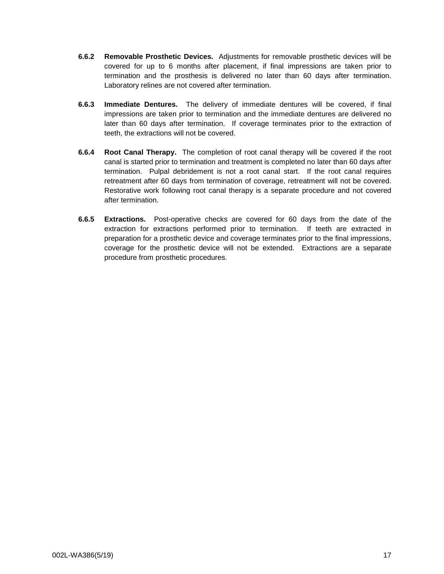- **6.6.2 Removable Prosthetic Devices.** Adjustments for removable prosthetic devices will be covered for up to 6 months after placement, if final impressions are taken prior to termination and the prosthesis is delivered no later than 60 days after termination. Laboratory relines are not covered after termination.
- **6.6.3 Immediate Dentures.** The delivery of immediate dentures will be covered, if final impressions are taken prior to termination and the immediate dentures are delivered no later than 60 days after termination. If coverage terminates prior to the extraction of teeth, the extractions will not be covered.
- **6.6.4 Root Canal Therapy.** The completion of root canal therapy will be covered if the root canal is started prior to termination and treatment is completed no later than 60 days after termination. Pulpal debridement is not a root canal start. If the root canal requires retreatment after 60 days from termination of coverage, retreatment will not be covered. Restorative work following root canal therapy is a separate procedure and not covered after termination.
- **6.6.5 Extractions.** Post-operative checks are covered for 60 days from the date of the extraction for extractions performed prior to termination. If teeth are extracted in preparation for a prosthetic device and coverage terminates prior to the final impressions, coverage for the prosthetic device will not be extended. Extractions are a separate procedure from prosthetic procedures.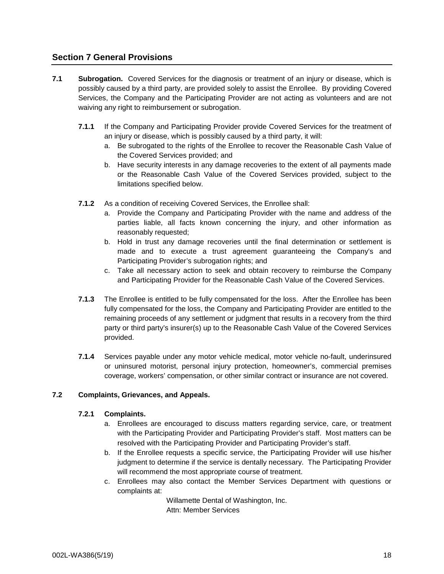# **Section 7 General Provisions**

- **7.1 Subrogation.** Covered Services for the diagnosis or treatment of an injury or disease, which is possibly caused by a third party, are provided solely to assist the Enrollee. By providing Covered Services, the Company and the Participating Provider are not acting as volunteers and are not waiving any right to reimbursement or subrogation.
	- **7.1.1** If the Company and Participating Provider provide Covered Services for the treatment of an injury or disease, which is possibly caused by a third party, it will:
		- a. Be subrogated to the rights of the Enrollee to recover the Reasonable Cash Value of the Covered Services provided; and
		- b. Have security interests in any damage recoveries to the extent of all payments made or the Reasonable Cash Value of the Covered Services provided, subject to the limitations specified below.
	- **7.1.2** As a condition of receiving Covered Services, the Enrollee shall:
		- a. Provide the Company and Participating Provider with the name and address of the parties liable, all facts known concerning the injury, and other information as reasonably requested;
		- b. Hold in trust any damage recoveries until the final determination or settlement is made and to execute a trust agreement guaranteeing the Company's and Participating Provider's subrogation rights; and
		- c. Take all necessary action to seek and obtain recovery to reimburse the Company and Participating Provider for the Reasonable Cash Value of the Covered Services.
	- **7.1.3** The Enrollee is entitled to be fully compensated for the loss. After the Enrollee has been fully compensated for the loss, the Company and Participating Provider are entitled to the remaining proceeds of any settlement or judgment that results in a recovery from the third party or third party's insurer(s) up to the Reasonable Cash Value of the Covered Services provided.
	- **7.1.4** Services payable under any motor vehicle medical, motor vehicle no-fault, underinsured or uninsured motorist, personal injury protection, homeowner's, commercial premises coverage, workers' compensation, or other similar contract or insurance are not covered.

## **7.2 Complaints, Grievances, and Appeals.**

## **7.2.1 Complaints.**

- a. Enrollees are encouraged to discuss matters regarding service, care, or treatment with the Participating Provider and Participating Provider's staff. Most matters can be resolved with the Participating Provider and Participating Provider's staff.
- b. If the Enrollee requests a specific service, the Participating Provider will use his/her judgment to determine if the service is dentally necessary. The Participating Provider will recommend the most appropriate course of treatment.
- c. Enrollees may also contact the Member Services Department with questions or complaints at:

Willamette Dental of Washington, Inc. Attn: Member Services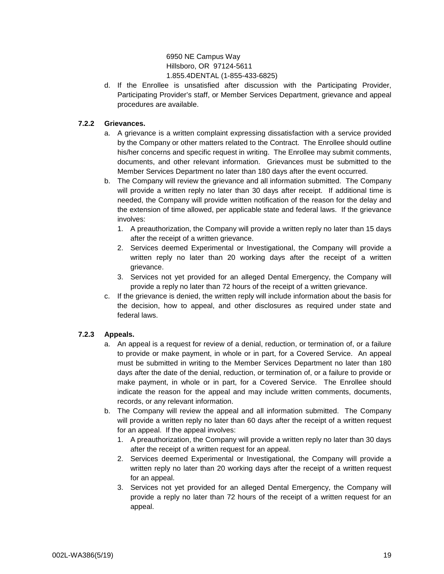6950 NE Campus Way Hillsboro, OR 97124-5611 1.855.4DENTAL (1-855-433-6825)

d. If the Enrollee is unsatisfied after discussion with the Participating Provider, Participating Provider's staff, or Member Services Department, grievance and appeal procedures are available.

## **7.2.2 Grievances.**

- a. A grievance is a written complaint expressing dissatisfaction with a service provided by the Company or other matters related to the Contract. The Enrollee should outline his/her concerns and specific request in writing. The Enrollee may submit comments, documents, and other relevant information. Grievances must be submitted to the Member Services Department no later than 180 days after the event occurred.
- b. The Company will review the grievance and all information submitted. The Company will provide a written reply no later than 30 days after receipt. If additional time is needed, the Company will provide written notification of the reason for the delay and the extension of time allowed, per applicable state and federal laws. If the grievance involves:
	- 1. A preauthorization, the Company will provide a written reply no later than 15 days after the receipt of a written grievance.
	- 2. Services deemed Experimental or Investigational, the Company will provide a written reply no later than 20 working days after the receipt of a written grievance.
	- 3. Services not yet provided for an alleged Dental Emergency, the Company will provide a reply no later than 72 hours of the receipt of a written grievance.
- c. If the grievance is denied, the written reply will include information about the basis for the decision, how to appeal, and other disclosures as required under state and federal laws.

# **7.2.3 Appeals.**

- a. An appeal is a request for review of a denial, reduction, or termination of, or a failure to provide or make payment, in whole or in part, for a Covered Service. An appeal must be submitted in writing to the Member Services Department no later than 180 days after the date of the denial, reduction, or termination of, or a failure to provide or make payment, in whole or in part, for a Covered Service. The Enrollee should indicate the reason for the appeal and may include written comments, documents, records, or any relevant information.
- b. The Company will review the appeal and all information submitted. The Company will provide a written reply no later than 60 days after the receipt of a written request for an appeal. If the appeal involves:
	- 1. A preauthorization, the Company will provide a written reply no later than 30 days after the receipt of a written request for an appeal.
	- 2. Services deemed Experimental or Investigational, the Company will provide a written reply no later than 20 working days after the receipt of a written request for an appeal.
	- 3. Services not yet provided for an alleged Dental Emergency, the Company will provide a reply no later than 72 hours of the receipt of a written request for an appeal.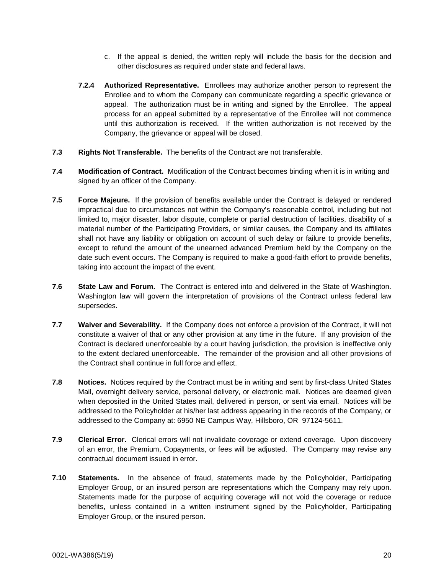- c. If the appeal is denied, the written reply will include the basis for the decision and other disclosures as required under state and federal laws.
- **7.2.4 Authorized Representative.** Enrollees may authorize another person to represent the Enrollee and to whom the Company can communicate regarding a specific grievance or appeal. The authorization must be in writing and signed by the Enrollee. The appeal process for an appeal submitted by a representative of the Enrollee will not commence until this authorization is received. If the written authorization is not received by the Company, the grievance or appeal will be closed.
- **7.3 Rights Not Transferable.** The benefits of the Contract are not transferable.
- **7.4 Modification of Contract.** Modification of the Contract becomes binding when it is in writing and signed by an officer of the Company.
- **7.5 Force Majeure.** If the provision of benefits available under the Contract is delayed or rendered impractical due to circumstances not within the Company's reasonable control, including but not limited to, major disaster, labor dispute, complete or partial destruction of facilities, disability of a material number of the Participating Providers, or similar causes, the Company and its affiliates shall not have any liability or obligation on account of such delay or failure to provide benefits, except to refund the amount of the unearned advanced Premium held by the Company on the date such event occurs. The Company is required to make a good-faith effort to provide benefits, taking into account the impact of the event.
- **7.6 State Law and Forum.** The Contract is entered into and delivered in the State of Washington. Washington law will govern the interpretation of provisions of the Contract unless federal law supersedes.
- **7.7 Waiver and Severability.** If the Company does not enforce a provision of the Contract, it will not constitute a waiver of that or any other provision at any time in the future. If any provision of the Contract is declared unenforceable by a court having jurisdiction, the provision is ineffective only to the extent declared unenforceable. The remainder of the provision and all other provisions of the Contract shall continue in full force and effect.
- **7.8 Notices.** Notices required by the Contract must be in writing and sent by first-class United States Mail, overnight delivery service, personal delivery, or electronic mail. Notices are deemed given when deposited in the United States mail, delivered in person, or sent via email. Notices will be addressed to the Policyholder at his/her last address appearing in the records of the Company, or addressed to the Company at: 6950 NE Campus Way, Hillsboro, OR 97124-5611.
- **7.9 Clerical Error.** Clerical errors will not invalidate coverage or extend coverage. Upon discovery of an error, the Premium, Copayments, or fees will be adjusted. The Company may revise any contractual document issued in error.
- **7.10 Statements.** In the absence of fraud, statements made by the Policyholder, Participating Employer Group, or an insured person are representations which the Company may rely upon. Statements made for the purpose of acquiring coverage will not void the coverage or reduce benefits, unless contained in a written instrument signed by the Policyholder, Participating Employer Group, or the insured person.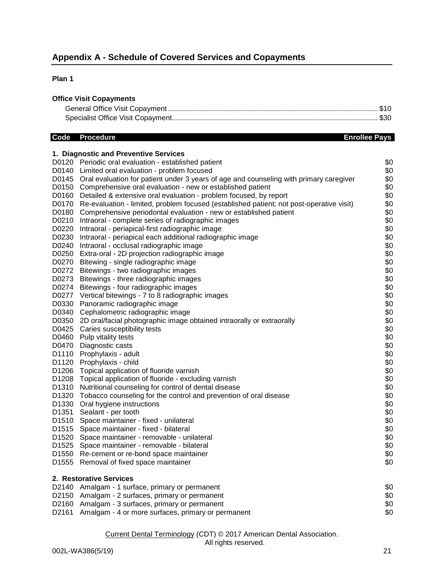## **Plan 1**

## **Office Visit Copayments**

# **Code** Procedure **Enrollee Pays**

|                   | 1. Diagnostic and Preventive Services                                                          |     |
|-------------------|------------------------------------------------------------------------------------------------|-----|
|                   | D0120 Periodic oral evaluation - established patient                                           | \$0 |
|                   | D0140 Limited oral evaluation - problem focused                                                | \$0 |
|                   | D0145 Oral evaluation for patient under 3 years of age and counseling with primary caregiver   | \$0 |
|                   | D0150 Comprehensive oral evaluation - new or established patient                               | \$0 |
|                   | D0160 Detailed & extensive oral evaluation - problem focused, by report                        | \$0 |
|                   | D0170 Re-evaluation - limited, problem focused (established patient; not post-operative visit) | \$0 |
| D0180             | Comprehensive periodontal evaluation - new or established patient                              | \$0 |
| D0210             | Intraoral - complete series of radiographic images                                             | \$0 |
| D0220             | Intraoral - periapical-first radiographic image                                                | \$0 |
| D0230             | Intraoral - periapical each additional radiographic image                                      | \$0 |
| D0240             | Intraoral - occlusal radiographic image                                                        | \$0 |
| D0250             | Extra-oral - 2D projection radiographic image                                                  | \$0 |
|                   | D0270 Bitewing - single radiographic image                                                     | \$0 |
|                   | D0272 Bitewings - two radiographic images                                                      | \$0 |
|                   | D0273 Bitewings - three radiographic images                                                    | \$0 |
|                   | D0274 Bitewings - four radiographic images                                                     | \$0 |
|                   | D0277 Vertical bitewings - 7 to 8 radiographic images                                          | \$0 |
|                   | D0330 Panoramic radiographic image                                                             | \$0 |
|                   | D0340 Cephalometric radiographic image                                                         | \$0 |
|                   | D0350 2D oral/facial photographic image obtained intraorally or extraorally                    | \$0 |
| D0425             | Caries susceptibility tests                                                                    | \$0 |
|                   | D0460 Pulp vitality tests                                                                      | \$0 |
|                   | D0470 Diagnostic casts                                                                         | \$0 |
|                   | D1110 Prophylaxis - adult                                                                      | \$0 |
|                   | D1120 Prophylaxis - child                                                                      | \$0 |
| D1206             | Topical application of fluoride varnish                                                        | \$0 |
| D1208             | Topical application of fluoride - excluding varnish                                            | \$0 |
| D1310             | Nutritional counseling for control of dental disease                                           | \$0 |
| D1320             | Tobacco counseling for the control and prevention of oral disease                              | \$0 |
|                   | D1330 Oral hygiene instructions                                                                | \$0 |
| D <sub>1351</sub> | Sealant - per tooth                                                                            | \$0 |
|                   | D1510 Space maintainer - fixed - unilateral                                                    | \$0 |
|                   | D1515 Space maintainer - fixed - bilateral                                                     | \$0 |
| D <sub>1520</sub> | Space maintainer - removable - unilateral                                                      | \$0 |
| D <sub>1525</sub> | Space maintainer - removable - bilateral                                                       | \$0 |
|                   | D1550 Re-cement or re-bond space maintainer                                                    | \$0 |
| D1555             | Removal of fixed space maintainer                                                              | \$0 |
|                   | 2. Restorative Services                                                                        |     |
|                   | D2140 Amalgam - 1 surface, primary or permanent                                                | \$0 |
|                   | D2150 Amalgam - 2 surfaces, primary or permanent                                               | \$0 |
|                   | D2160 Amalgam - 3 surfaces, primary or permanent                                               | \$0 |
|                   | D2161 Amalgam - 4 or more surfaces, primary or permanent                                       | \$0 |

## Current Dental Terminology (CDT) © 2017 American Dental Association.

## All rights reserved.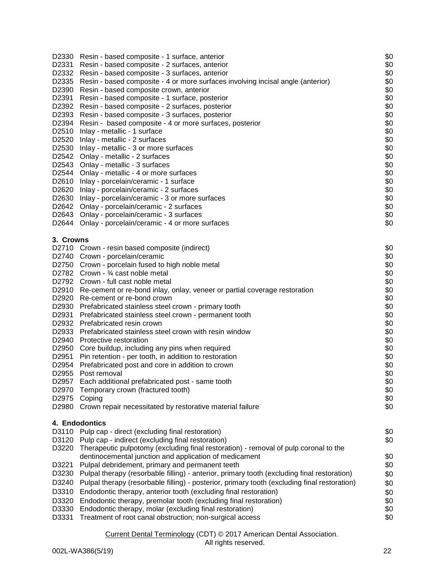|                   | D2330 Resin - based composite - 1 surface, anterior<br>Resin - based composite - 2 surfaces, anterior | \$0<br>\$0 |
|-------------------|-------------------------------------------------------------------------------------------------------|------------|
| D2331<br>D2332    | Resin - based composite - 3 surfaces, anterior                                                        | \$0        |
| D2335             | Resin - based composite - 4 or more surfaces involving incisal angle (anterior)                       | \$0        |
| D2390             | Resin - based composite crown, anterior                                                               | \$0        |
| D2391             | Resin - based composite - 1 surface, posterior                                                        | \$0        |
|                   | D2392 Resin - based composite - 2 surfaces, posterior                                                 | \$0        |
|                   | D2393 Resin - based composite - 3 surfaces, posterior                                                 | \$0        |
|                   | D2394 Resin - based composite - 4 or more surfaces, posterior                                         | \$0        |
| D2510             | Inlay - metallic - 1 surface                                                                          | \$0        |
|                   | D2520 Inlay - metallic - 2 surfaces                                                                   | \$0        |
|                   | D2530 Inlay - metallic - 3 or more surfaces                                                           | \$0        |
|                   | D2542 Onlay - metallic - 2 surfaces                                                                   | \$0        |
|                   | D2543 Onlay - metallic - 3 surfaces                                                                   | \$0        |
|                   | D2544 Onlay - metallic - 4 or more surfaces                                                           | \$0        |
|                   | D2610 Inlay - porcelain/ceramic - 1 surface                                                           | \$0        |
|                   | D2620 Inlay - porcelain/ceramic - 2 surfaces                                                          | \$0        |
|                   | D2630 Inlay - porcelain/ceramic - 3 or more surfaces                                                  | \$0        |
|                   | D2642 Onlay - porcelain/ceramic - 2 surfaces                                                          | \$0        |
|                   | D2643 Onlay - porcelain/ceramic - 3 surfaces                                                          | \$0        |
|                   | D2644 Onlay - porcelain/ceramic - 4 or more surfaces                                                  | \$0        |
| 3. Crowns         | D2710 Crown - resin based composite (indirect)                                                        | \$0        |
|                   | D2740 Crown - porcelain/ceramic                                                                       | \$0        |
|                   | D2750 Crown - porcelain fused to high noble metal                                                     | \$0        |
|                   | D2782 Crown - 3/4 cast noble metal                                                                    | \$0        |
|                   | D2792 Crown - full cast noble metal                                                                   | \$0        |
|                   | D2910 Re-cement or re-bond inlay, onlay, veneer or partial coverage restoration                       | \$0        |
|                   | D2920 Re-cement or re-bond crown                                                                      | \$0        |
|                   | D2930 Prefabricated stainless steel crown - primary tooth                                             | \$0        |
| D2931             | Prefabricated stainless steel crown - permanent tooth                                                 | \$0        |
|                   | D2932 Prefabricated resin crown                                                                       | \$0        |
|                   | D2933 Prefabricated stainless steel crown with resin window                                           | \$0        |
| D2940             | Protective restoration                                                                                | \$0        |
|                   | D2950 Core buildup, including any pins when required                                                  | \$0        |
| D <sub>2951</sub> | Pin retention - per tooth, in addition to restoration                                                 | \$0        |
| D2954             | Prefabricated post and core in addition to crown                                                      | \$0        |
| D2955             | Post removal                                                                                          | \$0        |
| D2957             | Each additional prefabricated post - same tooth                                                       | \$0        |
| D2970             | Temporary crown (fractured tooth)                                                                     | \$0        |
| D2975             | Coping                                                                                                | \$0        |
| D2980             | Crown repair necessitated by restorative material failure                                             | \$0        |
| D3110             | 4. Endodontics<br>Pulp cap - direct (excluding final restoration)                                     | \$0        |
| D3120             | Pulp cap - indirect (excluding final restoration)                                                     | \$0        |
| D3220             | Therapeutic pulpotomy (excluding final restoration) - removal of pulp coronal to the                  |            |
|                   | dentinocemental junction and application of medicament                                                | \$0        |
| D3221             | Pulpal debridement, primary and permanent teeth                                                       | \$0        |
| D3230             | Pulpal therapy (resorbable filling) - anterior, primary tooth (excluding final restoration)           | \$0        |
| D3240             | Pulpal therapy (resorbable filling) - posterior, primary tooth (excluding final restoration)          | \$0        |
| D3310             | Endodontic therapy, anterior tooth (excluding final restoration)                                      | \$0        |
| D3320             | Endodontic therapy, premolar tooth (excluding final restoration)                                      | \$0        |
| D3330             | Endodontic therapy, molar (excluding final restoration)                                               | \$0        |
| D3331             | Treatment of root canal obstruction; non-surgical access                                              | \$0        |
|                   |                                                                                                       |            |

## All rights reserved.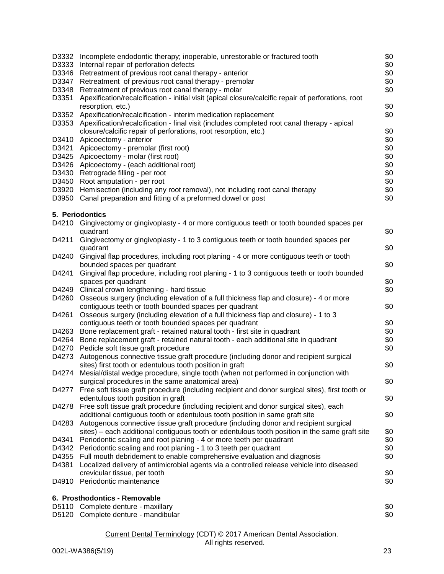| D3332          | Incomplete endodontic therapy; inoperable, unrestorable or fractured tooth                                                                                           | \$0        |
|----------------|----------------------------------------------------------------------------------------------------------------------------------------------------------------------|------------|
| D3333          | Internal repair of perforation defects                                                                                                                               | \$0        |
| D3346          | Retreatment of previous root canal therapy - anterior                                                                                                                | \$0        |
| D3347          | Retreatment of previous root canal therapy - premolar                                                                                                                | \$0        |
| D3348          | Retreatment of previous root canal therapy - molar                                                                                                                   | \$0        |
| D3351          | Apexification/recalcification - initial visit (apical closure/calcific repair of perforations, root                                                                  |            |
|                | resorption, etc.)                                                                                                                                                    | \$0        |
| D3352          | Apexification/recalcification - interim medication replacement                                                                                                       | \$0        |
| D3353          | Apexification/recalcification - final visit (includes completed root canal therapy - apical<br>closure/calcific repair of perforations, root resorption, etc.)       | \$0        |
| D3410          | Apicoectomy - anterior                                                                                                                                               | \$0        |
| D3421          | Apicoectomy - premolar (first root)                                                                                                                                  | \$0        |
| D3425          | Apicoectomy - molar (first root)                                                                                                                                     | \$0        |
| D3426          | Apicoectomy - (each additional root)                                                                                                                                 | \$0        |
|                | D3430 Retrograde filling - per root                                                                                                                                  | \$0        |
|                | D3450 Root amputation - per root                                                                                                                                     | \$0        |
| D3920          | Hemisection (including any root removal), not including root canal therapy                                                                                           | \$0        |
| D3950          | Canal preparation and fitting of a preformed dowel or post                                                                                                           | \$0        |
|                |                                                                                                                                                                      |            |
|                | 5. Periodontics                                                                                                                                                      |            |
| D4210          | Gingivectomy or gingivoplasty - 4 or more contiguous teeth or tooth bounded spaces per                                                                               |            |
|                | quadrant                                                                                                                                                             | \$0        |
| D4211          | Gingivectomy or gingivoplasty - 1 to 3 contiguous teeth or tooth bounded spaces per                                                                                  |            |
|                | quadrant                                                                                                                                                             | \$0        |
| D4240          | Gingival flap procedures, including root planing - 4 or more contiguous teeth or tooth                                                                               |            |
| D4241          | bounded spaces per quadrant<br>Gingival flap procedure, including root planing - 1 to 3 contiguous teeth or tooth bounded                                            | \$0        |
|                | spaces per quadrant                                                                                                                                                  | \$0        |
|                | D4249 Clinical crown lengthening - hard tissue                                                                                                                       | \$0        |
| D4260          | Osseous surgery (including elevation of a full thickness flap and closure) - 4 or more                                                                               |            |
|                | contiguous teeth or tooth bounded spaces per quadrant                                                                                                                | \$0        |
| D4261          | Osseous surgery (including elevation of a full thickness flap and closure) - 1 to 3                                                                                  |            |
|                | contiguous teeth or tooth bounded spaces per quadrant                                                                                                                | \$0        |
| D4263          | Bone replacement graft - retained natural tooth - first site in quadrant                                                                                             | \$0        |
| D4264          | Bone replacement graft - retained natural tooth - each additional site in quadrant                                                                                   | \$0        |
| D4270          | Pedicle soft tissue graft procedure                                                                                                                                  | \$0        |
| D4273          | Autogenous connective tissue graft procedure (including donor and recipient surgical                                                                                 |            |
|                | sites) first tooth or edentulous tooth position in graft                                                                                                             | \$0        |
|                | D4274 Mesial/distal wedge procedure, single tooth (when not performed in conjunction with                                                                            |            |
|                | surgical procedures in the same anatomical area)                                                                                                                     | \$0        |
| D4277          | Free soft tissue graft procedure (including recipient and donor surgical sites), first tooth or                                                                      |            |
|                | edentulous tooth position in graft                                                                                                                                   | \$0        |
|                | D4278 Free soft tissue graft procedure (including recipient and donor surgical sites), each                                                                          |            |
|                | additional contiguous tooth or edentulous tooth position in same graft site                                                                                          | \$0        |
| D4283          | Autogenous connective tissue graft procedure (including donor and recipient surgical                                                                                 |            |
|                | sites) – each additional contiguous tooth or edentulous tooth position in the same graft site                                                                        | \$0        |
| D4341<br>D4342 | Periodontic scaling and root planing - 4 or more teeth per quadrant                                                                                                  | \$0<br>\$0 |
|                | Periodontic scaling and root planing - 1 to 3 teeth per quadrant                                                                                                     |            |
| D4355<br>D4381 | Full mouth debridement to enable comprehensive evaluation and diagnosis<br>Localized delivery of antimicrobial agents via a controlled release vehicle into diseased | \$0        |
|                | crevicular tissue, per tooth                                                                                                                                         | \$0        |
|                | D4910 Periodontic maintenance                                                                                                                                        | \$0        |
|                |                                                                                                                                                                      |            |
|                | 6. Prosthodontics - Removable                                                                                                                                        |            |
|                | D5110 Complete denture - maxillary                                                                                                                                   | \$0        |
|                | D5120 Complete denture - mandibular                                                                                                                                  | \$0        |
|                |                                                                                                                                                                      |            |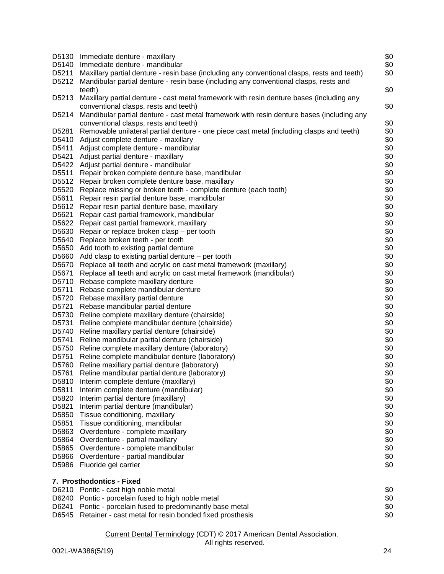| D5130<br>D5140<br>D5211 | Immediate denture - maxillary<br>Immediate denture - mandibular<br>Maxillary partial denture - resin base (including any conventional clasps, rests and teeth) | \$0<br>\$0<br>\$0 |
|-------------------------|----------------------------------------------------------------------------------------------------------------------------------------------------------------|-------------------|
| D5212                   | Mandibular partial denture - resin base (including any conventional clasps, rests and<br>teeth)                                                                | \$0               |
| D5213                   | Maxillary partial denture - cast metal framework with resin denture bases (including any<br>conventional clasps, rests and teeth)                              | \$0               |
| D5214                   | Mandibular partial denture - cast metal framework with resin denture bases (including any<br>conventional clasps, rests and teeth)                             | \$0               |
| D5281                   | Removable unilateral partial denture - one piece cast metal (including clasps and teeth)                                                                       | \$0               |
| D5410                   | Adjust complete denture - maxillary                                                                                                                            | \$0               |
| D5411                   | Adjust complete denture - mandibular                                                                                                                           | \$0               |
| D5421                   | Adjust partial denture - maxillary                                                                                                                             | \$0               |
| D5422                   | Adjust partial denture - mandibular                                                                                                                            | \$0               |
| D5511                   | Repair broken complete denture base, mandibular                                                                                                                | \$0               |
| D5512                   | Repair broken complete denture base, maxillary                                                                                                                 | \$0               |
| D5520                   | Replace missing or broken teeth - complete denture (each tooth)                                                                                                | \$0               |
| D5611                   | Repair resin partial denture base, mandibular                                                                                                                  | \$0               |
| D5612                   | Repair resin partial denture base, maxillary                                                                                                                   | \$0               |
| D5621                   | Repair cast partial framework, mandibular                                                                                                                      | \$0               |
| D5622                   | Repair cast partial framework, maxillary                                                                                                                       | \$0               |
| D5630                   | Repair or replace broken clasp – per tooth                                                                                                                     | \$0               |
| D5640                   | Replace broken teeth - per tooth                                                                                                                               | \$0               |
| D5650                   | Add tooth to existing partial denture                                                                                                                          | \$0               |
| D5660                   | Add clasp to existing partial denture $-$ per tooth                                                                                                            | \$0               |
| D5670                   | Replace all teeth and acrylic on cast metal framework (maxillary)                                                                                              | \$0               |
| D5671                   | Replace all teeth and acrylic on cast metal framework (mandibular)                                                                                             | \$0               |
| D5710                   | Rebase complete maxillary denture                                                                                                                              | \$0               |
| D5711                   | Rebase complete mandibular denture                                                                                                                             | \$0               |
| D5720                   | Rebase maxillary partial denture                                                                                                                               | \$0               |
| D5721                   | Rebase mandibular partial denture                                                                                                                              | \$0               |
| D5730                   | Reline complete maxillary denture (chairside)                                                                                                                  | \$0               |
| D5731                   | Reline complete mandibular denture (chairside)                                                                                                                 | \$0               |
| D5740                   | Reline maxillary partial denture (chairside)                                                                                                                   | \$0               |
| D5741                   | Reline mandibular partial denture (chairside)                                                                                                                  | \$0               |
| D5750                   | Reline complete maxillary denture (laboratory)                                                                                                                 | \$0               |
| D5751                   | Reline complete mandibular denture (laboratory)                                                                                                                | \$0               |
| D5760                   | Reline maxillary partial denture (laboratory)                                                                                                                  | \$0               |
| D5761                   | Reline mandibular partial denture (laboratory)                                                                                                                 | \$0               |
| D5810                   | Interim complete denture (maxillary)                                                                                                                           | \$0               |
| D5811                   | Interim complete denture (mandibular)                                                                                                                          | \$0               |
| D5820                   | Interim partial denture (maxillary)                                                                                                                            | \$0               |
| D5821                   | Interim partial denture (mandibular)                                                                                                                           | \$0               |
| D5850<br>D5851          | Tissue conditioning, maxillary<br>Tissue conditioning, mandibular                                                                                              | \$0<br>\$0        |
| D5863                   |                                                                                                                                                                | \$0               |
| D5864                   | Overdenture - complete maxillary<br>Overdenture - partial maxillary                                                                                            | \$0               |
| D5865                   | Overdenture - complete mandibular                                                                                                                              | \$0               |
| D5866                   | Overdenture - partial mandibular                                                                                                                               | \$0               |
| D5986                   | Fluoride gel carrier                                                                                                                                           | \$0               |
|                         | 7. Prosthodontics - Fixed                                                                                                                                      |                   |
|                         | D6210 Pontic - cast high noble metal                                                                                                                           | \$0               |
|                         | D6240 Pontic - porcelain fused to high noble metal                                                                                                             | \$0               |
| D6241                   | Pontic - porcelain fused to predominantly base metal                                                                                                           | \$0               |
| D6545                   | Retainer - cast metal for resin bonded fixed prosthesis                                                                                                        | \$0               |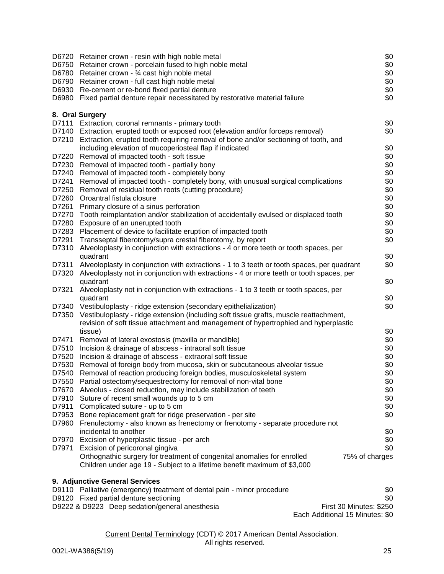|                | D6720 Retainer crown - resin with high noble metal                                                                                                  | \$0                     |
|----------------|-----------------------------------------------------------------------------------------------------------------------------------------------------|-------------------------|
|                | D6750 Retainer crown - porcelain fused to high noble metal                                                                                          | \$0                     |
|                | D6780 Retainer crown - 3⁄4 cast high noble metal                                                                                                    | \$0                     |
|                | D6790 Retainer crown - full cast high noble metal                                                                                                   | \$0                     |
|                | D6930 Re-cement or re-bond fixed partial denture                                                                                                    | \$0                     |
|                | D6980 Fixed partial denture repair necessitated by restorative material failure                                                                     | \$0                     |
|                | 8. Oral Surgery                                                                                                                                     |                         |
|                | D7111 Extraction, coronal remnants - primary tooth                                                                                                  | \$0                     |
|                | D7140 Extraction, erupted tooth or exposed root (elevation and/or forceps removal)                                                                  | \$0                     |
|                | D7210 Extraction, erupted tooth requiring removal of bone and/or sectioning of tooth, and                                                           |                         |
|                | including elevation of mucoperiosteal flap if indicated                                                                                             | \$0                     |
| D7220          | Removal of impacted tooth - soft tissue                                                                                                             | \$0                     |
|                | D7230 Removal of impacted tooth - partially bony                                                                                                    | \$0                     |
|                | D7240 Removal of impacted tooth - completely bony                                                                                                   | \$0                     |
| D7241          | Removal of impacted tooth - completely bony, with unusual surgical complications                                                                    | \$0                     |
| D7250<br>D7260 | Removal of residual tooth roots (cutting procedure)                                                                                                 | \$0                     |
| D7261          | Oroantral fistula closure                                                                                                                           | \$0                     |
| D7270          | Primary closure of a sinus perforation<br>Tooth reimplantation and/or stabilization of accidentally evulsed or displaced tooth                      | \$0<br>\$0              |
| D7280          | Exposure of an unerupted tooth                                                                                                                      | \$0                     |
| D7283          | Placement of device to facilitate eruption of impacted tooth                                                                                        | \$0                     |
| D7291          | Transseptal fiberotomy/supra crestal fiberotomy, by report                                                                                          | \$0                     |
| D7310          | Alveoloplasty in conjunction with extractions - 4 or more teeth or tooth spaces, per                                                                |                         |
|                | quadrant                                                                                                                                            | \$0                     |
| D7311          | Alveoloplasty in conjunction with extractions - 1 to 3 teeth or tooth spaces, per quadrant                                                          | \$0                     |
|                | D7320 Alveoloplasty not in conjunction with extractions - 4 or more teeth or tooth spaces, per                                                      |                         |
|                | quadrant                                                                                                                                            | \$0                     |
| D7321          | Alveoloplasty not in conjunction with extractions - 1 to 3 teeth or tooth spaces, per                                                               |                         |
|                | quadrant                                                                                                                                            | \$0                     |
|                | D7340 Vestibuloplasty - ridge extension (secondary epithelialization)                                                                               | \$0                     |
| D7350          | Vestibuloplasty - ridge extension (including soft tissue grafts, muscle reattachment,                                                               |                         |
|                | revision of soft tissue attachment and management of hypertrophied and hyperplastic                                                                 |                         |
|                | tissue)                                                                                                                                             | \$0                     |
| D7471          | Removal of lateral exostosis (maxilla or mandible)                                                                                                  | \$0                     |
| D7510          | Incision & drainage of abscess - intraoral soft tissue                                                                                              | \$0                     |
| D7520          | Incision & drainage of abscess - extraoral soft tissue                                                                                              | \$0                     |
|                | D7530 Removal of foreign body from mucosa, skin or subcutaneous alveolar tissue                                                                     | \$0                     |
| D7540          | Removal of reaction producing foreign bodies, musculoskeletal system                                                                                | \$0                     |
| D7550          | Partial ostectomy/sequestrectomy for removal of non-vital bone                                                                                      | \$0                     |
| D7670          | Alveolus - closed reduction, may include stabilization of teeth                                                                                     | \$0                     |
| D7910          | Suture of recent small wounds up to 5 cm                                                                                                            | \$0                     |
| D7911          | Complicated suture - up to 5 cm                                                                                                                     | \$0                     |
|                | D7953 Bone replacement graft for ridge preservation - per site                                                                                      | \$0                     |
| D7960          | Frenulectomy - also known as frenectomy or frenotomy - separate procedure not                                                                       |                         |
|                | incidental to another                                                                                                                               | \$0                     |
| D7970          | Excision of hyperplastic tissue - per arch                                                                                                          | \$0                     |
| D7971          | Excision of pericoronal gingiva                                                                                                                     | \$0                     |
|                | Orthognathic surgery for treatment of congenital anomalies for enrolled<br>Children under age 19 - Subject to a lifetime benefit maximum of \$3,000 | 75% of charges          |
|                | 9. Adjunctive General Services                                                                                                                      |                         |
|                | D9110 Palliative (emergency) treatment of dental pain - minor procedure                                                                             | \$0                     |
|                | D9120 Fixed partial denture sectioning                                                                                                              | \$0                     |
|                | D9222 & D9223 Deep sedation/general anesthesia                                                                                                      | First 30 Minutes: \$250 |

Each Additional 15 Minutes: \$0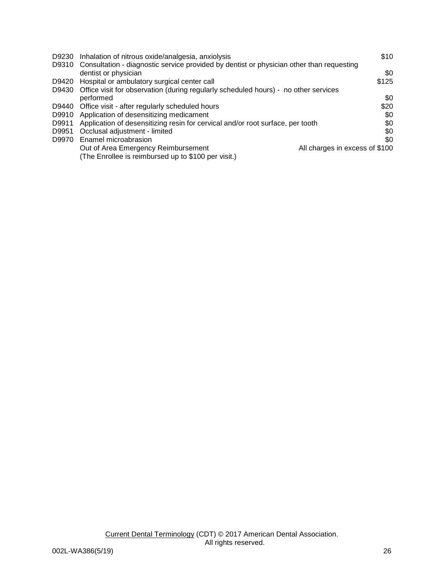| D9230 | Inhalation of nitrous oxide/analgesia, anxiolysis                                        | \$10                           |
|-------|------------------------------------------------------------------------------------------|--------------------------------|
| D9310 | Consultation - diagnostic service provided by dentist or physician other than requesting |                                |
|       | dentist or physician                                                                     | \$0                            |
| D9420 | Hospital or ambulatory surgical center call                                              | \$125                          |
| D9430 | Office visit for observation (during regularly scheduled hours) - no other services      |                                |
|       | performed                                                                                | \$0                            |
| D9440 | Office visit - after regularly scheduled hours                                           | \$20                           |
| D9910 | Application of desensitizing medicament                                                  | \$0                            |
| D9911 | Application of desensitizing resin for cervical and/or root surface, per tooth           | \$0                            |
| D9951 | Occlusal adjustment - limited                                                            | \$0                            |
| D9970 | Enamel microabrasion                                                                     | \$0                            |
|       | Out of Area Emergency Reimbursement                                                      | All charges in excess of \$100 |
|       | (The Enrollee is reimbursed up to \$100 per visit.)                                      |                                |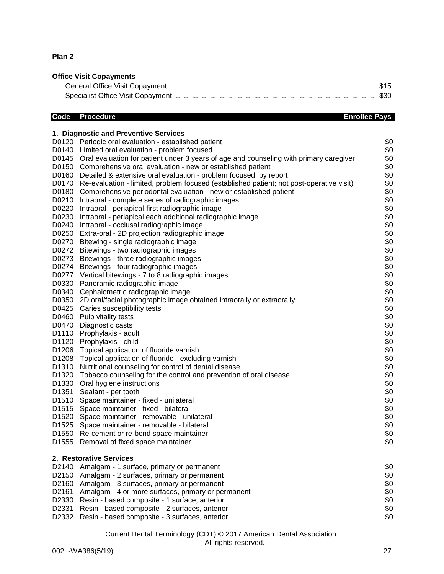## **Plan 2**

# **Office Visit Copayments**

# **Code** Procedure **Enrollee Pays**

|                   | 1. Diagnostic and Preventive Services                                                                |            |
|-------------------|------------------------------------------------------------------------------------------------------|------------|
|                   | D0120 Periodic oral evaluation - established patient                                                 | \$0        |
| D0140             | Limited oral evaluation - problem focused                                                            | \$0        |
| D0145             | Oral evaluation for patient under 3 years of age and counseling with primary caregiver               | \$0        |
| D0150             | Comprehensive oral evaluation - new or established patient                                           | \$0        |
| D0160             | Detailed & extensive oral evaluation - problem focused, by report                                    | \$0        |
| D0170             | Re-evaluation - limited, problem focused (established patient; not post-operative visit)             | \$0        |
| D0180             | Comprehensive periodontal evaluation - new or established patient                                    | \$0        |
| D0210             | Intraoral - complete series of radiographic images                                                   | \$0        |
| D0220             | Intraoral - periapical-first radiographic image                                                      | \$0        |
| D0230             | Intraoral - periapical each additional radiographic image                                            | \$0        |
|                   | D0240 Intraoral - occlusal radiographic image                                                        | \$0        |
|                   | D0250 Extra-oral - 2D projection radiographic image                                                  | \$0        |
|                   | D0270 Bitewing - single radiographic image                                                           | \$0        |
|                   | D0272 Bitewings - two radiographic images                                                            | \$0        |
|                   | D0273 Bitewings - three radiographic images                                                          | \$0        |
|                   | D0274 Bitewings - four radiographic images                                                           | \$0        |
|                   | D0277 Vertical bitewings - 7 to 8 radiographic images                                                | \$0        |
| D0330             | Panoramic radiographic image                                                                         | \$0        |
| D0340             | Cephalometric radiographic image                                                                     | \$0<br>\$0 |
| D0350<br>D0425    | 2D oral/facial photographic image obtained intraorally or extraorally<br>Caries susceptibility tests | \$0        |
| D0460             | Pulp vitality tests                                                                                  | \$0        |
| D0470             | Diagnostic casts                                                                                     | \$0        |
| D1110             | Prophylaxis - adult                                                                                  | \$0        |
| D1120             | Prophylaxis - child                                                                                  | \$0        |
| D1206             | Topical application of fluoride varnish                                                              | \$0        |
| D1208             | Topical application of fluoride - excluding varnish                                                  | \$0        |
| D1310             | Nutritional counseling for control of dental disease                                                 | \$0        |
| D <sub>1320</sub> | Tobacco counseling for the control and prevention of oral disease                                    | \$0        |
| D1330             | Oral hygiene instructions                                                                            | \$0        |
| D1351             | Sealant - per tooth                                                                                  | \$0        |
| D <sub>1510</sub> | Space maintainer - fixed - unilateral                                                                | \$0        |
| D <sub>1515</sub> | Space maintainer - fixed - bilateral                                                                 | \$0        |
| D <sub>1520</sub> | Space maintainer - removable - unilateral                                                            | \$0        |
|                   | D1525 Space maintainer - removable - bilateral                                                       | \$0        |
|                   | D1550 Re-cement or re-bond space maintainer                                                          | \$0        |
|                   | D1555 Removal of fixed space maintainer                                                              | \$0        |
|                   | 2. Restorative Services                                                                              |            |
| D2140             | Amalgam - 1 surface, primary or permanent                                                            | \$0        |
| D2150             | Amalgam - 2 surfaces, primary or permanent                                                           | \$0        |
| D2160             | Amalgam - 3 surfaces, primary or permanent                                                           | \$0        |
| D2161             | Amalgam - 4 or more surfaces, primary or permanent                                                   | \$0        |
| D2330             | Resin - based composite - 1 surface, anterior                                                        | \$0        |
| D2331             | Resin - based composite - 2 surfaces, anterior                                                       | \$0        |
| D2332             | Resin - based composite - 3 surfaces, anterior                                                       | \$0        |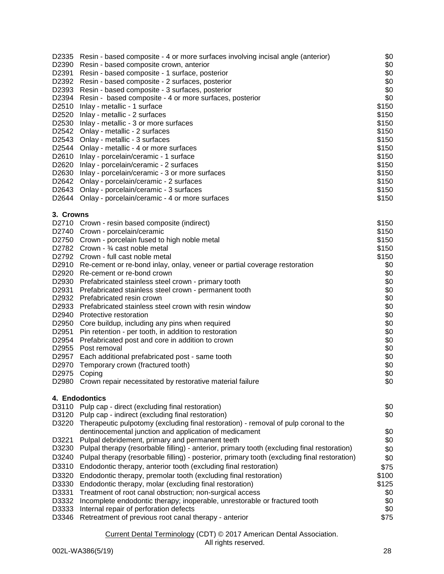| D2335          | Resin - based composite - 4 or more surfaces involving incisal angle (anterior)                                                                | \$0         |
|----------------|------------------------------------------------------------------------------------------------------------------------------------------------|-------------|
| D2390          | Resin - based composite crown, anterior                                                                                                        | \$0<br>\$0  |
| D2391          | Resin - based composite - 1 surface, posterior<br>D2392 Resin - based composite - 2 surfaces, posterior                                        | \$0         |
|                | D2393 Resin - based composite - 3 surfaces, posterior                                                                                          | \$0         |
|                | D2394 Resin - based composite - 4 or more surfaces, posterior                                                                                  | \$0         |
|                | D2510 Inlay - metallic - 1 surface                                                                                                             | \$150       |
|                | D2520 Inlay - metallic - 2 surfaces                                                                                                            | \$150       |
|                | D2530 Inlay - metallic - 3 or more surfaces                                                                                                    | \$150       |
|                | D2542 Onlay - metallic - 2 surfaces                                                                                                            | \$150       |
|                | D2543 Onlay - metallic - 3 surfaces                                                                                                            | \$150       |
|                | D2544 Onlay - metallic - 4 or more surfaces                                                                                                    | \$150       |
|                | D2610 Inlay - porcelain/ceramic - 1 surface                                                                                                    | \$150       |
|                | D2620 Inlay - porcelain/ceramic - 2 surfaces                                                                                                   | \$150       |
|                | D2630 Inlay - porcelain/ceramic - 3 or more surfaces                                                                                           | \$150       |
|                | D2642 Onlay - porcelain/ceramic - 2 surfaces                                                                                                   | \$150       |
|                | D2643 Onlay - porcelain/ceramic - 3 surfaces                                                                                                   | \$150       |
|                | D2644 Onlay - porcelain/ceramic - 4 or more surfaces                                                                                           | \$150       |
| 3. Crowns      |                                                                                                                                                |             |
|                | D2710 Crown - resin based composite (indirect)                                                                                                 | \$150       |
|                | D2740 Crown - porcelain/ceramic                                                                                                                | \$150       |
|                | D2750 Crown - porcelain fused to high noble metal                                                                                              | \$150       |
|                | D2782 Crown - 3⁄4 cast noble metal                                                                                                             | \$150       |
|                | D2792 Crown - full cast noble metal                                                                                                            | \$150       |
|                | D2910 Re-cement or re-bond inlay, onlay, veneer or partial coverage restoration                                                                | \$0         |
|                | D2920 Re-cement or re-bond crown                                                                                                               | \$0         |
|                | D2930 Prefabricated stainless steel crown - primary tooth                                                                                      | \$0         |
| D2931          | Prefabricated stainless steel crown - permanent tooth                                                                                          | \$0         |
|                | D2932 Prefabricated resin crown                                                                                                                | \$0         |
|                | D2933 Prefabricated stainless steel crown with resin window                                                                                    | \$0         |
| D2940          | Protective restoration                                                                                                                         | \$0         |
| D2950          | Core buildup, including any pins when required                                                                                                 | \$0         |
| D2951          | Pin retention - per tooth, in addition to restoration                                                                                          | \$0         |
| D2954          | Prefabricated post and core in addition to crown                                                                                               | \$0         |
| D2955          | Post removal                                                                                                                                   | \$0         |
| D2957          | Each additional prefabricated post - same tooth                                                                                                | \$0         |
| D2970          | Temporary crown (fractured tooth)                                                                                                              | \$0         |
| D2975          | Coping                                                                                                                                         | \$0         |
|                | D2980 Crown repair necessitated by restorative material failure                                                                                | \$0         |
| D3110          | 4. Endodontics<br>Pulp cap - direct (excluding final restoration)                                                                              | \$0         |
| D3120          | Pulp cap - indirect (excluding final restoration)                                                                                              |             |
|                |                                                                                                                                                | \$0         |
| D3220          | Therapeutic pulpotomy (excluding final restoration) - removal of pulp coronal to the<br>dentinocemental junction and application of medicament | \$0         |
| D3221          | Pulpal debridement, primary and permanent teeth                                                                                                | \$0         |
| D3230          | Pulpal therapy (resorbable filling) - anterior, primary tooth (excluding final restoration)                                                    |             |
|                |                                                                                                                                                | \$0         |
| D3240          | Pulpal therapy (resorbable filling) - posterior, primary tooth (excluding final restoration)                                                   | \$0         |
| D3310          | Endodontic therapy, anterior tooth (excluding final restoration)                                                                               | \$75        |
| D3320          | Endodontic therapy, premolar tooth (excluding final restoration)                                                                               | \$100       |
| D3330          | Endodontic therapy, molar (excluding final restoration)                                                                                        | \$125       |
| D3331          | Treatment of root canal obstruction; non-surgical access                                                                                       | \$0         |
| D3332          | Incomplete endodontic therapy; inoperable, unrestorable or fractured tooth                                                                     | \$0         |
| D3333<br>D3346 | Internal repair of perforation defects                                                                                                         | \$0<br>\$75 |
|                | Retreatment of previous root canal therapy - anterior                                                                                          |             |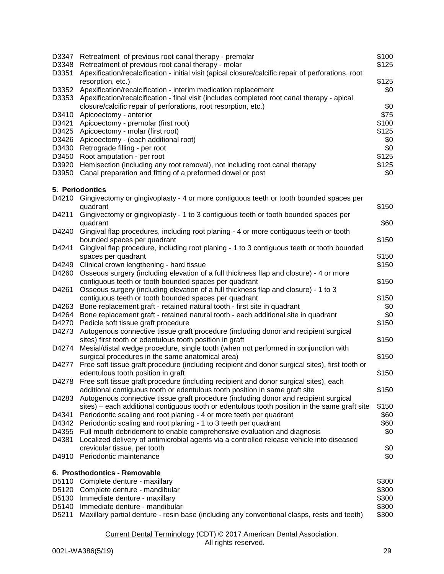| D3347<br>D3348<br>D3351 | Retreatment of previous root canal therapy - premolar<br>Retreatment of previous root canal therapy - molar<br>Apexification/recalcification - initial visit (apical closure/calcific repair of perforations, root | \$100<br>\$125 |
|-------------------------|--------------------------------------------------------------------------------------------------------------------------------------------------------------------------------------------------------------------|----------------|
|                         | resorption, etc.)                                                                                                                                                                                                  | \$125          |
| D3352                   | Apexification/recalcification - interim medication replacement                                                                                                                                                     | \$0            |
| D3353                   | Apexification/recalcification - final visit (includes completed root canal therapy - apical                                                                                                                        |                |
|                         | closure/calcific repair of perforations, root resorption, etc.)                                                                                                                                                    | \$0            |
| D3410                   | Apicoectomy - anterior                                                                                                                                                                                             | \$75           |
| D3421                   | Apicoectomy - premolar (first root)                                                                                                                                                                                | \$100          |
| D3425                   | Apicoectomy - molar (first root)                                                                                                                                                                                   | \$125          |
| D3426                   | Apicoectomy - (each additional root)                                                                                                                                                                               | \$0            |
| D3430                   | Retrograde filling - per root                                                                                                                                                                                      | \$0            |
| D3450                   | Root amputation - per root                                                                                                                                                                                         | \$125          |
| D3920                   | Hemisection (including any root removal), not including root canal therapy                                                                                                                                         | \$125          |
| D3950                   | Canal preparation and fitting of a preformed dowel or post                                                                                                                                                         | \$0            |
|                         | 5. Periodontics                                                                                                                                                                                                    |                |
|                         | D4210 Gingivectomy or gingivoplasty - 4 or more contiguous teeth or tooth bounded spaces per                                                                                                                       |                |
|                         | quadrant                                                                                                                                                                                                           | \$150          |
| D4211                   | Gingivectomy or gingivoplasty - 1 to 3 contiguous teeth or tooth bounded spaces per<br>quadrant                                                                                                                    | \$60           |
| D4240                   | Gingival flap procedures, including root planing - 4 or more contiguous teeth or tooth                                                                                                                             |                |
|                         | bounded spaces per quadrant                                                                                                                                                                                        | \$150          |
| D4241                   | Gingival flap procedure, including root planing - 1 to 3 contiguous teeth or tooth bounded                                                                                                                         |                |
|                         | spaces per quadrant                                                                                                                                                                                                | \$150          |
| D4249                   | Clinical crown lengthening - hard tissue                                                                                                                                                                           | \$150          |
| D4260                   | Osseous surgery (including elevation of a full thickness flap and closure) - 4 or more<br>contiguous teeth or tooth bounded spaces per quadrant                                                                    | \$150          |
| D4261                   | Osseous surgery (including elevation of a full thickness flap and closure) - 1 to 3                                                                                                                                |                |
|                         | contiguous teeth or tooth bounded spaces per quadrant                                                                                                                                                              | \$150          |
| D4263                   | Bone replacement graft - retained natural tooth - first site in quadrant                                                                                                                                           | \$0            |
| D4264                   | Bone replacement graft - retained natural tooth - each additional site in quadrant                                                                                                                                 | \$0            |
| D4270                   | Pedicle soft tissue graft procedure                                                                                                                                                                                | \$150          |
| D4273                   | Autogenous connective tissue graft procedure (including donor and recipient surgical                                                                                                                               |                |
|                         | sites) first tooth or edentulous tooth position in graft                                                                                                                                                           | \$150          |
| D4274                   | Mesial/distal wedge procedure, single tooth (when not performed in conjunction with                                                                                                                                |                |
|                         | surgical procedures in the same anatomical area)                                                                                                                                                                   | \$150          |
| D4277                   | Free soft tissue graft procedure (including recipient and donor surgical sites), first tooth or                                                                                                                    |                |
|                         | edentulous tooth position in graft                                                                                                                                                                                 | \$150          |
|                         | D4278 Free soft tissue graft procedure (including recipient and donor surgical sites), each                                                                                                                        |                |
|                         | additional contiguous tooth or edentulous tooth position in same graft site                                                                                                                                        | \$150          |
| D4283                   | Autogenous connective tissue graft procedure (including donor and recipient surgical                                                                                                                               |                |
|                         | sites) – each additional contiguous tooth or edentulous tooth position in the same graft site                                                                                                                      | \$150          |
| D4341                   | Periodontic scaling and root planing - 4 or more teeth per quadrant                                                                                                                                                | \$60           |
|                         |                                                                                                                                                                                                                    |                |
| D4342                   | Periodontic scaling and root planing - 1 to 3 teeth per quadrant                                                                                                                                                   | \$60           |
| D4355                   | Full mouth debridement to enable comprehensive evaluation and diagnosis                                                                                                                                            | \$0            |
| D4381                   | Localized delivery of antimicrobial agents via a controlled release vehicle into diseased                                                                                                                          |                |
| D4910                   | crevicular tissue, per tooth<br>Periodontic maintenance                                                                                                                                                            | \$0<br>\$0     |
|                         |                                                                                                                                                                                                                    |                |
|                         | 6. Prosthodontics - Removable                                                                                                                                                                                      |                |
|                         | D5110 Complete denture - maxillary                                                                                                                                                                                 | \$300          |
| D5120                   | Complete denture - mandibular                                                                                                                                                                                      | \$300          |
| D5130                   | Immediate denture - maxillary                                                                                                                                                                                      | \$300          |
| D5140                   | Immediate denture - mandibular                                                                                                                                                                                     | \$300          |
| D5211                   | Maxillary partial denture - resin base (including any conventional clasps, rests and teeth)                                                                                                                        | \$300          |
|                         |                                                                                                                                                                                                                    |                |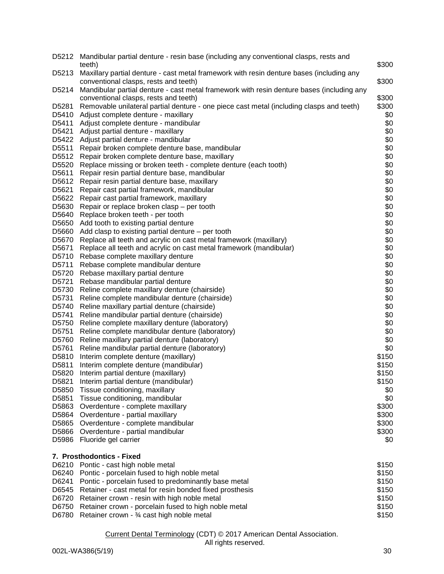|       | D5212 Mandibular partial denture - resin base (including any conventional clasps, rests and<br>teeth)                              | \$300 |
|-------|------------------------------------------------------------------------------------------------------------------------------------|-------|
| D5213 | Maxillary partial denture - cast metal framework with resin denture bases (including any<br>conventional clasps, rests and teeth)  | \$300 |
| D5214 | Mandibular partial denture - cast metal framework with resin denture bases (including any<br>conventional clasps, rests and teeth) | \$300 |
| D5281 | Removable unilateral partial denture - one piece cast metal (including clasps and teeth)                                           | \$300 |
| D5410 | Adjust complete denture - maxillary                                                                                                | \$0   |
| D5411 | Adjust complete denture - mandibular                                                                                               | \$0   |
| D5421 | Adjust partial denture - maxillary                                                                                                 | \$0   |
|       | D5422 Adjust partial denture - mandibular                                                                                          | \$0   |
| D5511 | Repair broken complete denture base, mandibular                                                                                    | \$0   |
| D5512 | Repair broken complete denture base, maxillary                                                                                     | \$0   |
| D5520 | Replace missing or broken teeth - complete denture (each tooth)                                                                    | \$0   |
| D5611 | Repair resin partial denture base, mandibular                                                                                      | \$0   |
| D5612 | Repair resin partial denture base, maxillary                                                                                       | \$0   |
| D5621 | Repair cast partial framework, mandibular                                                                                          | \$0   |
| D5622 | Repair cast partial framework, maxillary                                                                                           | \$0   |
| D5630 | Repair or replace broken clasp - per tooth                                                                                         | \$0   |
| D5640 | Replace broken teeth - per tooth                                                                                                   | \$0   |
| D5650 | Add tooth to existing partial denture                                                                                              | \$0   |
| D5660 | Add clasp to existing partial denture $-$ per tooth                                                                                | \$0   |
| D5670 | Replace all teeth and acrylic on cast metal framework (maxillary)                                                                  | \$0   |
| D5671 | Replace all teeth and acrylic on cast metal framework (mandibular)                                                                 | \$0   |
| D5710 | Rebase complete maxillary denture                                                                                                  | \$0   |
| D5711 | Rebase complete mandibular denture                                                                                                 | \$0   |
| D5720 | Rebase maxillary partial denture                                                                                                   | \$0   |
| D5721 | Rebase mandibular partial denture                                                                                                  | \$0   |
| D5730 | Reline complete maxillary denture (chairside)                                                                                      | \$0   |
| D5731 | Reline complete mandibular denture (chairside)                                                                                     | \$0   |
| D5740 | Reline maxillary partial denture (chairside)                                                                                       | \$0   |
| D5741 | Reline mandibular partial denture (chairside)                                                                                      | \$0   |
| D5750 | Reline complete maxillary denture (laboratory)                                                                                     | \$0   |
| D5751 | Reline complete mandibular denture (laboratory)                                                                                    | \$0   |
| D5760 | Reline maxillary partial denture (laboratory)                                                                                      | \$0   |
| D5761 | Reline mandibular partial denture (laboratory)                                                                                     | \$0   |
| D5810 | Interim complete denture (maxillary)                                                                                               | \$150 |
| D5811 | Interim complete denture (mandibular)                                                                                              | \$150 |
| D5820 | Interim partial denture (maxillary)                                                                                                | \$150 |
| D5821 | Interim partial denture (mandibular)                                                                                               | \$150 |
| D5850 | Tissue conditioning, maxillary                                                                                                     | \$0   |
| D5851 | Tissue conditioning, mandibular                                                                                                    | \$0   |
| D5863 | Overdenture - complete maxillary                                                                                                   | \$300 |
| D5864 | Overdenture - partial maxillary                                                                                                    | \$300 |
| D5865 | Overdenture - complete mandibular                                                                                                  | \$300 |
| D5866 | Overdenture - partial mandibular                                                                                                   | \$300 |
| D5986 | Fluoride gel carrier                                                                                                               | \$0   |
|       | 7. Prosthodontics - Fixed                                                                                                          |       |
| D6210 | Pontic - cast high noble metal                                                                                                     | \$150 |
| D6240 | Pontic - porcelain fused to high noble metal                                                                                       | \$150 |
| D6241 | Pontic - porcelain fused to predominantly base metal                                                                               | \$150 |
| D6545 | Retainer - cast metal for resin bonded fixed prosthesis                                                                            | \$150 |
| D6720 | Retainer crown - resin with high noble metal                                                                                       | \$150 |
| D6750 | Retainer crown - porcelain fused to high noble metal                                                                               | \$150 |
| D6780 | Retainer crown - 3⁄4 cast high noble metal                                                                                         | \$150 |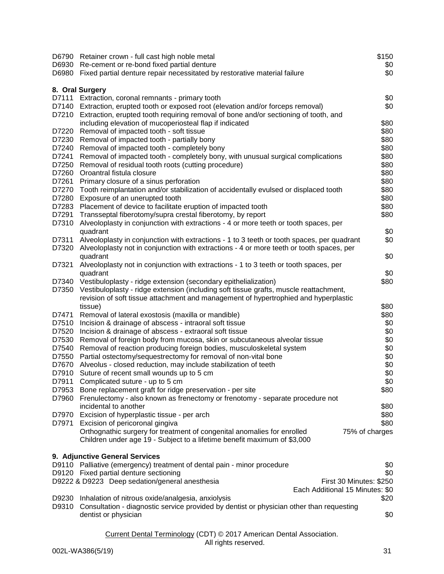|       | D6790 Retainer crown - full cast high noble metal<br>D6930 Re-cement or re-bond fixed partial denture<br>D6980 Fixed partial denture repair necessitated by restorative material failure | \$150<br>\$0<br>\$0 |
|-------|------------------------------------------------------------------------------------------------------------------------------------------------------------------------------------------|---------------------|
|       | 8. Oral Surgery                                                                                                                                                                          |                     |
| D7111 | Extraction, coronal remnants - primary tooth                                                                                                                                             | \$0                 |
|       | D7140 Extraction, erupted tooth or exposed root (elevation and/or forceps removal)                                                                                                       | \$0                 |
|       | D7210 Extraction, erupted tooth requiring removal of bone and/or sectioning of tooth, and                                                                                                |                     |
|       | including elevation of mucoperiosteal flap if indicated                                                                                                                                  | \$80                |
| D7220 | Removal of impacted tooth - soft tissue                                                                                                                                                  | \$80                |
| D7230 | Removal of impacted tooth - partially bony                                                                                                                                               | \$80                |
| D7240 | Removal of impacted tooth - completely bony                                                                                                                                              | \$80                |
| D7241 | Removal of impacted tooth - completely bony, with unusual surgical complications                                                                                                         | \$80                |
| D7250 | Removal of residual tooth roots (cutting procedure)                                                                                                                                      | \$80                |
| D7260 | Oroantral fistula closure                                                                                                                                                                | \$80                |
| D7261 | Primary closure of a sinus perforation                                                                                                                                                   | \$80                |
| D7270 | Tooth reimplantation and/or stabilization of accidentally evulsed or displaced tooth                                                                                                     | \$80                |
| D7280 | Exposure of an unerupted tooth                                                                                                                                                           | \$80                |
| D7283 | Placement of device to facilitate eruption of impacted tooth                                                                                                                             | \$80                |
| D7291 | Transseptal fiberotomy/supra crestal fiberotomy, by report                                                                                                                               | \$80                |
| D7310 | Alveoloplasty in conjunction with extractions - 4 or more teeth or tooth spaces, per                                                                                                     |                     |
|       | quadrant                                                                                                                                                                                 | \$0                 |
| D7311 | Alveoloplasty in conjunction with extractions - 1 to 3 teeth or tooth spaces, per quadrant                                                                                               | \$0                 |
| D7320 | Alveoloplasty not in conjunction with extractions - 4 or more teeth or tooth spaces, per                                                                                                 |                     |
|       | quadrant                                                                                                                                                                                 | \$0                 |
| D7321 | Alveoloplasty not in conjunction with extractions - 1 to 3 teeth or tooth spaces, per                                                                                                    |                     |
| D7340 | quadrant<br>Vestibuloplasty - ridge extension (secondary epithelialization)                                                                                                              | \$0<br>\$80         |
| D7350 | Vestibuloplasty - ridge extension (including soft tissue grafts, muscle reattachment,                                                                                                    |                     |
|       | revision of soft tissue attachment and management of hypertrophied and hyperplastic                                                                                                      |                     |
|       | tissue)                                                                                                                                                                                  | \$80                |
| D7471 | Removal of lateral exostosis (maxilla or mandible)                                                                                                                                       | \$80                |
| D7510 | Incision & drainage of abscess - intraoral soft tissue                                                                                                                                   | \$0                 |
| D7520 | Incision & drainage of abscess - extraoral soft tissue                                                                                                                                   | \$0                 |
| D7530 | Removal of foreign body from mucosa, skin or subcutaneous alveolar tissue                                                                                                                | \$0                 |
| D7540 | Removal of reaction producing foreign bodies, musculoskeletal system                                                                                                                     | \$0                 |
| D7550 | Partial ostectomy/sequestrectomy for removal of non-vital bone                                                                                                                           | \$0                 |
| D7670 | Alveolus - closed reduction, may include stabilization of teeth                                                                                                                          | \$0                 |
| D7910 | Suture of recent small wounds up to 5 cm                                                                                                                                                 | \$0                 |
| D7911 | Complicated suture - up to 5 cm                                                                                                                                                          | \$0                 |
| D7953 | Bone replacement graft for ridge preservation - per site                                                                                                                                 | \$80                |
| D7960 | Frenulectomy - also known as frenectomy or frenotomy - separate procedure not                                                                                                            |                     |
|       | incidental to another                                                                                                                                                                    | \$80                |
|       | D7970 Excision of hyperplastic tissue - per arch                                                                                                                                         | \$80                |
| D7971 | Excision of pericoronal gingiva                                                                                                                                                          | \$80                |
|       | Orthognathic surgery for treatment of congenital anomalies for enrolled                                                                                                                  | 75% of charges      |
|       | Children under age 19 - Subject to a lifetime benefit maximum of \$3,000                                                                                                                 |                     |
|       |                                                                                                                                                                                          |                     |
|       | 9. Adjunctive General Services<br>D9110 Palliative (emergency) treatment of dental pain - minor procedure                                                                                |                     |
|       | D9120 Fixed partial denture sectioning                                                                                                                                                   | \$0<br>\$0          |
|       | D9222 & D9223 Deep sedation/general anesthesia<br>First 30 Minutes: \$250                                                                                                                |                     |
|       | Each Additional 15 Minutes: \$0                                                                                                                                                          |                     |
| D9230 | Inhalation of nitrous oxide/analgesia, anxiolysis                                                                                                                                        | \$20                |
|       | D9310 Consultation - diagnostic service provided by dentist or physician other than requesting                                                                                           |                     |
|       | dentist or physician                                                                                                                                                                     | \$0                 |
|       |                                                                                                                                                                                          |                     |
|       | Current Dental Terminology (CDT) © 2017 American Dental Association.                                                                                                                     |                     |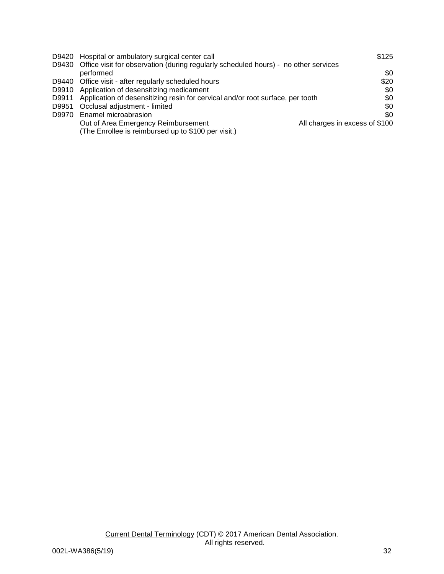|       | D9420 Hospital or ambulatory surgical center call                                                      | \$125                          |
|-------|--------------------------------------------------------------------------------------------------------|--------------------------------|
|       | D9430 Office visit for observation (during regularly scheduled hours) - no other services<br>performed | \$0                            |
|       | D9440 Office visit - after regularly scheduled hours                                                   | \$20                           |
|       | D9910 Application of desensitizing medicament                                                          | \$0                            |
|       | D9911 Application of desensitizing resin for cervical and/or root surface, per tooth                   | \$0                            |
| D9951 | Occlusal adjustment - limited                                                                          | \$0                            |
| D9970 | Enamel microabrasion                                                                                   | \$0                            |
|       | Out of Area Emergency Reimbursement                                                                    | All charges in excess of \$100 |
|       | (The Enrollee is reimbursed up to \$100 per visit.)                                                    |                                |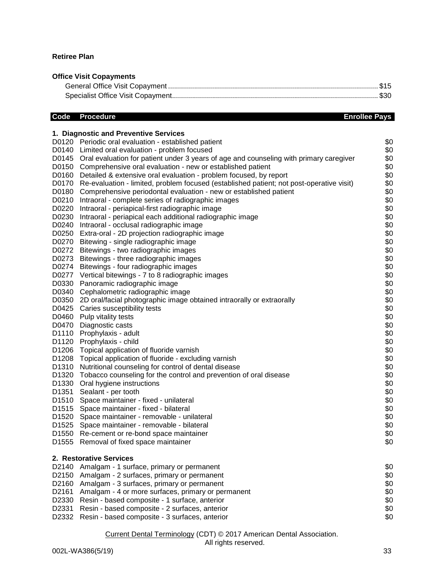## **Retiree Plan**

# **Office Visit Copayments**

# **Code** Procedure **Enrollee Pays**

|                   | 1. Diagnostic and Preventive Services                                                        |            |
|-------------------|----------------------------------------------------------------------------------------------|------------|
|                   | D0120 Periodic oral evaluation - established patient                                         | \$0        |
|                   | D0140 Limited oral evaluation - problem focused                                              | \$0        |
|                   | D0145 Oral evaluation for patient under 3 years of age and counseling with primary caregiver | \$0        |
| D0150             | Comprehensive oral evaluation - new or established patient                                   | \$0        |
| D0160             | Detailed & extensive oral evaluation - problem focused, by report                            | \$0        |
| D0170             | Re-evaluation - limited, problem focused (established patient; not post-operative visit)     | \$0        |
| D0180             | Comprehensive periodontal evaluation - new or established patient                            | \$0        |
| D0210             | Intraoral - complete series of radiographic images                                           | \$0        |
| D0220             | Intraoral - periapical-first radiographic image                                              | \$0        |
| D0230             | Intraoral - periapical each additional radiographic image                                    | \$0        |
|                   | D0240 Intraoral - occlusal radiographic image                                                | \$0        |
|                   | D0250 Extra-oral - 2D projection radiographic image                                          | \$0        |
|                   | D0270 Bitewing - single radiographic image                                                   | \$0        |
|                   | D0272 Bitewings - two radiographic images                                                    | \$0        |
|                   | D0273 Bitewings - three radiographic images                                                  | \$0        |
|                   | D0274 Bitewings - four radiographic images                                                   | \$0        |
|                   | D0277 Vertical bitewings - 7 to 8 radiographic images                                        | \$0        |
| D0330             | Panoramic radiographic image                                                                 | \$0        |
| D0340             | Cephalometric radiographic image                                                             | \$0        |
| D0350             | 2D oral/facial photographic image obtained intraorally or extraorally                        | \$0        |
|                   | D0425 Caries susceptibility tests                                                            | \$0        |
| D0460             | Pulp vitality tests                                                                          | \$0        |
|                   | D0470 Diagnostic casts                                                                       | \$0        |
| D1110             | Prophylaxis - adult                                                                          | \$0        |
| D1120             | Prophylaxis - child                                                                          | \$0        |
| D1206             | Topical application of fluoride varnish                                                      | \$0        |
| D <sub>1208</sub> | Topical application of fluoride - excluding varnish                                          | \$0        |
| D <sub>1310</sub> | Nutritional counseling for control of dental disease                                         | \$0        |
| D <sub>1320</sub> | Tobacco counseling for the control and prevention of oral disease                            | \$0        |
| D <sub>1330</sub> | Oral hygiene instructions                                                                    | \$0        |
| D1351             | Sealant - per tooth                                                                          | \$0        |
| D <sub>1510</sub> | Space maintainer - fixed - unilateral                                                        | \$0        |
| D <sub>1515</sub> | Space maintainer - fixed - bilateral                                                         | \$0        |
|                   | D1520 Space maintainer - removable - unilateral                                              | \$0<br>\$0 |
|                   | D1525 Space maintainer - removable - bilateral                                               |            |
|                   | D1550 Re-cement or re-bond space maintainer<br>D1555 Removal of fixed space maintainer       | \$0<br>\$0 |
|                   |                                                                                              |            |
|                   | 2. Restorative Services                                                                      |            |
| D2140             | Amalgam - 1 surface, primary or permanent                                                    | \$0        |
| D <sub>2150</sub> | Amalgam - 2 surfaces, primary or permanent                                                   | \$0        |
| D2160             | Amalgam - 3 surfaces, primary or permanent                                                   | \$0        |
| D2161             | Amalgam - 4 or more surfaces, primary or permanent                                           | \$0        |
| D2330             | Resin - based composite - 1 surface, anterior                                                | \$0        |
| D2331             | Resin - based composite - 2 surfaces, anterior                                               | \$0        |
| D2332             | Resin - based composite - 3 surfaces, anterior                                               | \$0        |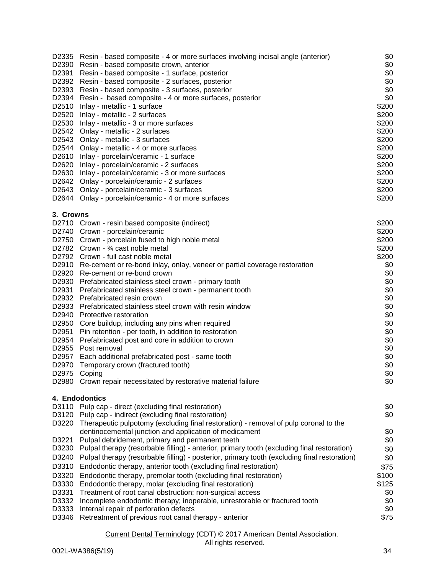|                | D2335 Resin - based composite - 4 or more surfaces involving incisal angle (anterior)                                                          | \$0<br>\$0 |
|----------------|------------------------------------------------------------------------------------------------------------------------------------------------|------------|
| D2390<br>D2391 | Resin - based composite crown, anterior<br>Resin - based composite - 1 surface, posterior                                                      | \$0        |
|                | D2392 Resin - based composite - 2 surfaces, posterior                                                                                          | \$0        |
|                | D2393 Resin - based composite - 3 surfaces, posterior                                                                                          | \$0        |
|                | D2394 Resin - based composite - 4 or more surfaces, posterior                                                                                  | \$0        |
|                | D2510 Inlay - metallic - 1 surface                                                                                                             | \$200      |
|                | D2520 Inlay - metallic - 2 surfaces                                                                                                            | \$200      |
|                | D2530 Inlay - metallic - 3 or more surfaces                                                                                                    | \$200      |
|                | D2542 Onlay - metallic - 2 surfaces                                                                                                            | \$200      |
|                | D2543 Onlay - metallic - 3 surfaces                                                                                                            | \$200      |
|                | D2544 Onlay - metallic - 4 or more surfaces                                                                                                    | \$200      |
|                | D2610 Inlay - porcelain/ceramic - 1 surface                                                                                                    | \$200      |
|                | D2620 Inlay - porcelain/ceramic - 2 surfaces                                                                                                   | \$200      |
|                | D2630 Inlay - porcelain/ceramic - 3 or more surfaces                                                                                           | \$200      |
|                | D2642 Onlay - porcelain/ceramic - 2 surfaces                                                                                                   | \$200      |
|                | D2643 Onlay - porcelain/ceramic - 3 surfaces                                                                                                   | \$200      |
|                | D2644 Onlay - porcelain/ceramic - 4 or more surfaces                                                                                           | \$200      |
| 3. Crowns      |                                                                                                                                                |            |
|                | D2710 Crown - resin based composite (indirect)                                                                                                 | \$200      |
|                | D2740 Crown - porcelain/ceramic                                                                                                                | \$200      |
|                | D2750 Crown - porcelain fused to high noble metal                                                                                              | \$200      |
|                | D2782 Crown - 3⁄4 cast noble metal                                                                                                             | \$200      |
|                | D2792 Crown - full cast noble metal                                                                                                            | \$200      |
|                | D2910 Re-cement or re-bond inlay, onlay, veneer or partial coverage restoration                                                                | \$0        |
|                | D2920 Re-cement or re-bond crown                                                                                                               | \$0        |
|                | D2930 Prefabricated stainless steel crown - primary tooth                                                                                      | \$0        |
| D2931          | Prefabricated stainless steel crown - permanent tooth                                                                                          | \$0        |
|                | D2932 Prefabricated resin crown                                                                                                                | \$0        |
|                | D2933 Prefabricated stainless steel crown with resin window                                                                                    | \$0        |
|                | D2940 Protective restoration                                                                                                                   | \$0        |
| D2950<br>D2951 | Core buildup, including any pins when required                                                                                                 | \$0<br>\$0 |
| D2954          | Pin retention - per tooth, in addition to restoration                                                                                          | \$0        |
| D2955          | Prefabricated post and core in addition to crown<br>Post removal                                                                               | \$0        |
| D2957          | Each additional prefabricated post - same tooth                                                                                                | \$0        |
| D2970          | Temporary crown (fractured tooth)                                                                                                              | \$0        |
| D2975          | Coping                                                                                                                                         | \$0        |
|                | D2980 Crown repair necessitated by restorative material failure                                                                                | \$0        |
|                | 4. Endodontics                                                                                                                                 |            |
| D3110          | Pulp cap - direct (excluding final restoration)                                                                                                | \$0        |
| D3120          | Pulp cap - indirect (excluding final restoration)                                                                                              | \$0        |
| D3220          | Therapeutic pulpotomy (excluding final restoration) - removal of pulp coronal to the<br>dentinocemental junction and application of medicament | \$0        |
| D3221          | Pulpal debridement, primary and permanent teeth                                                                                                | \$0        |
| D3230          | Pulpal therapy (resorbable filling) - anterior, primary tooth (excluding final restoration)                                                    | \$0        |
| D3240          | Pulpal therapy (resorbable filling) - posterior, primary tooth (excluding final restoration)                                                   | \$0        |
| D3310          | Endodontic therapy, anterior tooth (excluding final restoration)                                                                               | \$75       |
| D3320          | Endodontic therapy, premolar tooth (excluding final restoration)                                                                               | \$100      |
| D3330          | Endodontic therapy, molar (excluding final restoration)                                                                                        | \$125      |
| D3331          | Treatment of root canal obstruction; non-surgical access                                                                                       | \$0        |
| D3332          | Incomplete endodontic therapy; inoperable, unrestorable or fractured tooth                                                                     | \$0        |
| D3333          | Internal repair of perforation defects                                                                                                         | \$0        |
| D3346          | Retreatment of previous root canal therapy - anterior                                                                                          | \$75       |
|                |                                                                                                                                                |            |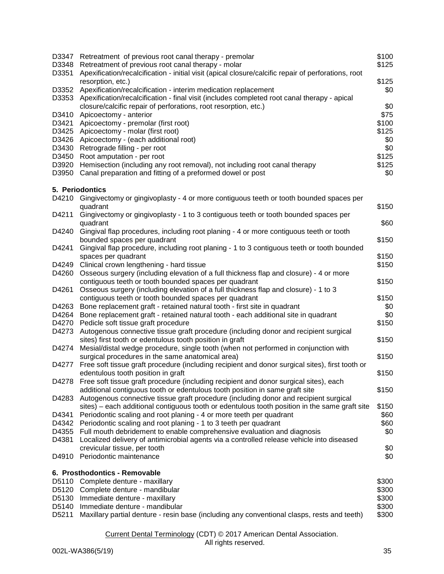| D3347<br>D3348<br>D3351 | Retreatment of previous root canal therapy - premolar<br>Retreatment of previous root canal therapy - molar<br>Apexification/recalcification - initial visit (apical closure/calcific repair of perforations, root | \$100<br>\$125 |
|-------------------------|--------------------------------------------------------------------------------------------------------------------------------------------------------------------------------------------------------------------|----------------|
|                         | resorption, etc.)                                                                                                                                                                                                  | \$125          |
| D3352                   | Apexification/recalcification - interim medication replacement                                                                                                                                                     | \$0            |
| D3353                   | Apexification/recalcification - final visit (includes completed root canal therapy - apical                                                                                                                        |                |
|                         | closure/calcific repair of perforations, root resorption, etc.)                                                                                                                                                    | \$0            |
| D3410                   | Apicoectomy - anterior                                                                                                                                                                                             | \$75           |
| D3421                   | Apicoectomy - premolar (first root)                                                                                                                                                                                | \$100          |
| D3425                   | Apicoectomy - molar (first root)                                                                                                                                                                                   | \$125          |
| D3426                   | Apicoectomy - (each additional root)                                                                                                                                                                               | \$0            |
| D3430                   | Retrograde filling - per root                                                                                                                                                                                      | \$0            |
| D3450                   | Root amputation - per root                                                                                                                                                                                         | \$125          |
| D3920                   | Hemisection (including any root removal), not including root canal therapy                                                                                                                                         | \$125          |
| D3950                   | Canal preparation and fitting of a preformed dowel or post                                                                                                                                                         | \$0            |
|                         | 5. Periodontics                                                                                                                                                                                                    |                |
|                         | D4210 Gingivectomy or gingivoplasty - 4 or more contiguous teeth or tooth bounded spaces per                                                                                                                       |                |
|                         | quadrant                                                                                                                                                                                                           | \$150          |
| D4211                   | Gingivectomy or gingivoplasty - 1 to 3 contiguous teeth or tooth bounded spaces per<br>quadrant                                                                                                                    | \$60           |
| D4240                   | Gingival flap procedures, including root planing - 4 or more contiguous teeth or tooth                                                                                                                             |                |
|                         | bounded spaces per quadrant                                                                                                                                                                                        | \$150          |
| D4241                   | Gingival flap procedure, including root planing - 1 to 3 contiguous teeth or tooth bounded                                                                                                                         |                |
|                         | spaces per quadrant                                                                                                                                                                                                | \$150          |
| D4249                   | Clinical crown lengthening - hard tissue                                                                                                                                                                           | \$150          |
| D4260                   | Osseous surgery (including elevation of a full thickness flap and closure) - 4 or more<br>contiguous teeth or tooth bounded spaces per quadrant                                                                    | \$150          |
| D4261                   | Osseous surgery (including elevation of a full thickness flap and closure) - 1 to 3                                                                                                                                |                |
|                         | contiguous teeth or tooth bounded spaces per quadrant                                                                                                                                                              | \$150          |
| D4263                   | Bone replacement graft - retained natural tooth - first site in quadrant                                                                                                                                           | \$0            |
| D4264                   | Bone replacement graft - retained natural tooth - each additional site in quadrant                                                                                                                                 | \$0            |
| D4270                   | Pedicle soft tissue graft procedure                                                                                                                                                                                | \$150          |
| D4273                   | Autogenous connective tissue graft procedure (including donor and recipient surgical                                                                                                                               |                |
|                         | sites) first tooth or edentulous tooth position in graft                                                                                                                                                           | \$150          |
| D4274                   | Mesial/distal wedge procedure, single tooth (when not performed in conjunction with                                                                                                                                |                |
|                         | surgical procedures in the same anatomical area)                                                                                                                                                                   | \$150          |
| D4277                   | Free soft tissue graft procedure (including recipient and donor surgical sites), first tooth or                                                                                                                    |                |
|                         | edentulous tooth position in graft                                                                                                                                                                                 | \$150          |
|                         | D4278 Free soft tissue graft procedure (including recipient and donor surgical sites), each                                                                                                                        |                |
|                         | additional contiguous tooth or edentulous tooth position in same graft site                                                                                                                                        | \$150          |
| D4283                   | Autogenous connective tissue graft procedure (including donor and recipient surgical                                                                                                                               |                |
|                         | sites) – each additional contiguous tooth or edentulous tooth position in the same graft site                                                                                                                      | \$150          |
| D4341                   | Periodontic scaling and root planing - 4 or more teeth per quadrant                                                                                                                                                | \$60           |
|                         |                                                                                                                                                                                                                    |                |
| D4342                   | Periodontic scaling and root planing - 1 to 3 teeth per quadrant                                                                                                                                                   | \$60           |
| D4355                   | Full mouth debridement to enable comprehensive evaluation and diagnosis                                                                                                                                            | \$0            |
| D4381                   | Localized delivery of antimicrobial agents via a controlled release vehicle into diseased                                                                                                                          |                |
| D4910                   | crevicular tissue, per tooth<br>Periodontic maintenance                                                                                                                                                            | \$0<br>\$0     |
|                         |                                                                                                                                                                                                                    |                |
|                         | 6. Prosthodontics - Removable                                                                                                                                                                                      |                |
|                         | D5110 Complete denture - maxillary                                                                                                                                                                                 | \$300          |
| D5120                   | Complete denture - mandibular                                                                                                                                                                                      | \$300          |
| D5130                   | Immediate denture - maxillary                                                                                                                                                                                      | \$300          |
| D5140                   | Immediate denture - mandibular                                                                                                                                                                                     | \$300          |
| D5211                   | Maxillary partial denture - resin base (including any conventional clasps, rests and teeth)                                                                                                                        | \$300          |
|                         |                                                                                                                                                                                                                    |                |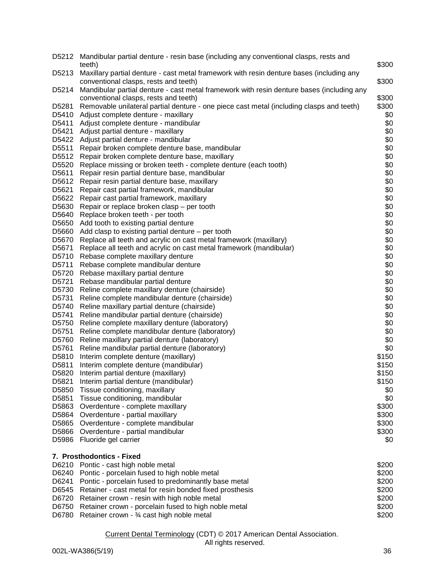|       | D5212 Mandibular partial denture - resin base (including any conventional clasps, rests and<br>teeth)                              | \$300 |
|-------|------------------------------------------------------------------------------------------------------------------------------------|-------|
| D5213 | Maxillary partial denture - cast metal framework with resin denture bases (including any                                           |       |
| D5214 | conventional clasps, rests and teeth)<br>Mandibular partial denture - cast metal framework with resin denture bases (including any | \$300 |
|       | conventional clasps, rests and teeth)                                                                                              | \$300 |
| D5281 | Removable unilateral partial denture - one piece cast metal (including clasps and teeth)                                           | \$300 |
| D5410 | Adjust complete denture - maxillary                                                                                                | \$0   |
| D5411 | Adjust complete denture - mandibular                                                                                               | \$0   |
| D5421 | Adjust partial denture - maxillary                                                                                                 | \$0   |
|       | D5422 Adjust partial denture - mandibular                                                                                          | \$0   |
| D5511 | Repair broken complete denture base, mandibular                                                                                    | \$0   |
| D5512 | Repair broken complete denture base, maxillary                                                                                     | \$0   |
| D5520 | Replace missing or broken teeth - complete denture (each tooth)                                                                    | \$0   |
| D5611 | Repair resin partial denture base, mandibular                                                                                      | \$0   |
| D5612 | Repair resin partial denture base, maxillary                                                                                       | \$0   |
| D5621 | Repair cast partial framework, mandibular                                                                                          | \$0   |
| D5622 | Repair cast partial framework, maxillary                                                                                           | \$0   |
| D5630 | Repair or replace broken clasp - per tooth                                                                                         | \$0   |
| D5640 | Replace broken teeth - per tooth                                                                                                   | \$0   |
| D5650 | Add tooth to existing partial denture                                                                                              | \$0   |
| D5660 | Add clasp to existing partial denture $-$ per tooth                                                                                | \$0   |
| D5670 | Replace all teeth and acrylic on cast metal framework (maxillary)                                                                  | \$0   |
| D5671 | Replace all teeth and acrylic on cast metal framework (mandibular)                                                                 | \$0   |
| D5710 | Rebase complete maxillary denture                                                                                                  | \$0   |
| D5711 | Rebase complete mandibular denture                                                                                                 | \$0   |
| D5720 | Rebase maxillary partial denture                                                                                                   | \$0   |
| D5721 | Rebase mandibular partial denture                                                                                                  | \$0   |
| D5730 | Reline complete maxillary denture (chairside)                                                                                      | \$0   |
| D5731 | Reline complete mandibular denture (chairside)                                                                                     | \$0   |
| D5740 | Reline maxillary partial denture (chairside)                                                                                       | \$0   |
| D5741 | Reline mandibular partial denture (chairside)                                                                                      | \$0   |
| D5750 | Reline complete maxillary denture (laboratory)                                                                                     | \$0   |
| D5751 | Reline complete mandibular denture (laboratory)                                                                                    | \$0   |
| D5760 | Reline maxillary partial denture (laboratory)                                                                                      | \$0   |
| D5761 | Reline mandibular partial denture (laboratory)                                                                                     | \$0   |
| D5810 | Interim complete denture (maxillary)                                                                                               | \$150 |
| D5811 | Interim complete denture (mandibular)                                                                                              | \$150 |
| D5820 | Interim partial denture (maxillary)                                                                                                | \$150 |
| D5821 | Interim partial denture (mandibular)                                                                                               | \$150 |
| D5850 | Tissue conditioning, maxillary                                                                                                     | \$0   |
| D5851 | Tissue conditioning, mandibular                                                                                                    | \$0   |
| D5863 | Overdenture - complete maxillary                                                                                                   | \$300 |
| D5864 | Overdenture - partial maxillary                                                                                                    | \$300 |
| D5865 | Overdenture - complete mandibular                                                                                                  | \$300 |
| D5866 | Overdenture - partial mandibular                                                                                                   | \$300 |
| D5986 | Fluoride gel carrier                                                                                                               | \$0   |
|       | 7. Prosthodontics - Fixed                                                                                                          |       |
| D6210 | Pontic - cast high noble metal                                                                                                     | \$200 |
| D6240 | Pontic - porcelain fused to high noble metal                                                                                       | \$200 |
| D6241 | Pontic - porcelain fused to predominantly base metal                                                                               | \$200 |
| D6545 | Retainer - cast metal for resin bonded fixed prosthesis                                                                            | \$200 |
| D6720 | Retainer crown - resin with high noble metal                                                                                       | \$200 |
| D6750 | Retainer crown - porcelain fused to high noble metal                                                                               | \$200 |
| D6780 | Retainer crown - 3⁄4 cast high noble metal                                                                                         | \$200 |
|       |                                                                                                                                    |       |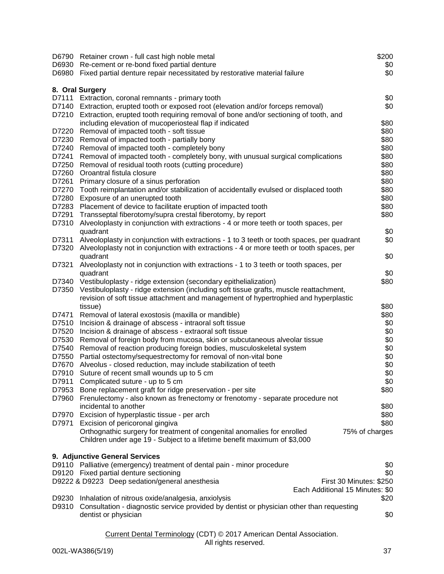|                | D6790 Retainer crown - full cast high noble metal<br>D6930 Re-cement or re-bond fixed partial denture<br>D6980 Fixed partial denture repair necessitated by restorative material failure | \$200<br>\$0<br>\$0 |
|----------------|------------------------------------------------------------------------------------------------------------------------------------------------------------------------------------------|---------------------|
|                | 8. Oral Surgery                                                                                                                                                                          |                     |
| D7111          | Extraction, coronal remnants - primary tooth                                                                                                                                             | \$0                 |
|                | D7140 Extraction, erupted tooth or exposed root (elevation and/or forceps removal)                                                                                                       | \$0                 |
| D7210          | Extraction, erupted tooth requiring removal of bone and/or sectioning of tooth, and                                                                                                      |                     |
|                | including elevation of mucoperiosteal flap if indicated                                                                                                                                  | \$80                |
| D7220          | Removal of impacted tooth - soft tissue                                                                                                                                                  | \$80                |
| D7230          | Removal of impacted tooth - partially bony                                                                                                                                               | \$80                |
| D7240          | Removal of impacted tooth - completely bony                                                                                                                                              | \$80                |
| D7241          | Removal of impacted tooth - completely bony, with unusual surgical complications                                                                                                         | \$80                |
| D7250          | Removal of residual tooth roots (cutting procedure)                                                                                                                                      | \$80                |
| D7260          | Oroantral fistula closure                                                                                                                                                                | \$80                |
| D7261          | Primary closure of a sinus perforation                                                                                                                                                   | \$80                |
| D7270          | Tooth reimplantation and/or stabilization of accidentally evulsed or displaced tooth                                                                                                     | \$80                |
| D7280          | Exposure of an unerupted tooth                                                                                                                                                           | \$80                |
| D7283          | Placement of device to facilitate eruption of impacted tooth                                                                                                                             | \$80                |
| D7291          | Transseptal fiberotomy/supra crestal fiberotomy, by report                                                                                                                               | \$80                |
| D7310          | Alveoloplasty in conjunction with extractions - 4 or more teeth or tooth spaces, per                                                                                                     |                     |
|                | quadrant                                                                                                                                                                                 | \$0                 |
| D7311          | Alveoloplasty in conjunction with extractions - 1 to 3 teeth or tooth spaces, per quadrant                                                                                               | \$0                 |
| D7320          | Alveoloplasty not in conjunction with extractions - 4 or more teeth or tooth spaces, per                                                                                                 |                     |
|                | quadrant                                                                                                                                                                                 | \$0                 |
| D7321          | Alveoloplasty not in conjunction with extractions - 1 to 3 teeth or tooth spaces, per                                                                                                    |                     |
|                | quadrant                                                                                                                                                                                 | \$0                 |
| D7340<br>D7350 | Vestibuloplasty - ridge extension (secondary epithelialization)<br>Vestibuloplasty - ridge extension (including soft tissue grafts, muscle reattachment,                                 | \$80                |
|                | revision of soft tissue attachment and management of hypertrophied and hyperplastic                                                                                                      |                     |
|                | tissue)                                                                                                                                                                                  | \$80                |
| D7471          | Removal of lateral exostosis (maxilla or mandible)                                                                                                                                       | \$80                |
| D7510          | Incision & drainage of abscess - intraoral soft tissue                                                                                                                                   | \$0                 |
| D7520          | Incision & drainage of abscess - extraoral soft tissue                                                                                                                                   | \$0                 |
| D7530          | Removal of foreign body from mucosa, skin or subcutaneous alveolar tissue                                                                                                                | \$0                 |
| D7540          | Removal of reaction producing foreign bodies, musculoskeletal system                                                                                                                     | \$0                 |
| D7550          | Partial ostectomy/sequestrectomy for removal of non-vital bone                                                                                                                           | \$0                 |
| D7670          | Alveolus - closed reduction, may include stabilization of teeth                                                                                                                          | \$0                 |
| D7910          | Suture of recent small wounds up to 5 cm                                                                                                                                                 | \$0                 |
| D7911          | Complicated suture - up to 5 cm                                                                                                                                                          | \$0                 |
| D7953          | Bone replacement graft for ridge preservation - per site                                                                                                                                 | \$80                |
| D7960          | Frenulectomy - also known as frenectomy or frenotomy - separate procedure not                                                                                                            |                     |
|                | incidental to another                                                                                                                                                                    | \$80                |
| D7970          | Excision of hyperplastic tissue - per arch                                                                                                                                               | \$80                |
|                | D7971 Excision of pericoronal gingiva                                                                                                                                                    | \$80                |
|                | Orthognathic surgery for treatment of congenital anomalies for enrolled                                                                                                                  | 75% of charges      |
|                | Children under age 19 - Subject to a lifetime benefit maximum of \$3,000                                                                                                                 |                     |
|                |                                                                                                                                                                                          |                     |
|                | 9. Adjunctive General Services                                                                                                                                                           |                     |
|                | D9110 Palliative (emergency) treatment of dental pain - minor procedure                                                                                                                  | \$0                 |
|                | D9120 Fixed partial denture sectioning                                                                                                                                                   | \$0                 |
|                | D9222 & D9223 Deep sedation/general anesthesia<br>First 30 Minutes: \$250                                                                                                                |                     |
|                | Each Additional 15 Minutes: \$0                                                                                                                                                          |                     |
| D9230          | Inhalation of nitrous oxide/analgesia, anxiolysis<br>D9310 Consultation - diagnostic service provided by dentist or physician other than requesting                                      | \$20                |
|                | dentist or physician                                                                                                                                                                     | \$0                 |
|                |                                                                                                                                                                                          |                     |
|                |                                                                                                                                                                                          |                     |
|                | Current Dental Terminology (CDT) © 2017 American Dental Association.                                                                                                                     |                     |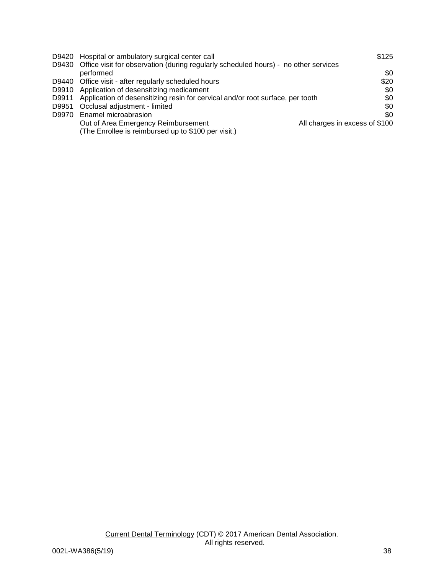|       | D9420 Hospital or ambulatory surgical center call                                         | \$125                          |
|-------|-------------------------------------------------------------------------------------------|--------------------------------|
|       | D9430 Office visit for observation (during regularly scheduled hours) - no other services | \$0                            |
|       | performed                                                                                 |                                |
|       | D9440 Office visit - after regularly scheduled hours                                      | \$20                           |
|       | D9910 Application of desensitizing medicament                                             | \$0                            |
|       | D9911 Application of desensitizing resin for cervical and/or root surface, per tooth      | \$0                            |
| D9951 | Occlusal adjustment - limited                                                             | \$0                            |
| D9970 | Enamel microabrasion                                                                      | \$0                            |
|       | Out of Area Emergency Reimbursement                                                       | All charges in excess of \$100 |
|       | (The Enrollee is reimbursed up to \$100 per visit.)                                       |                                |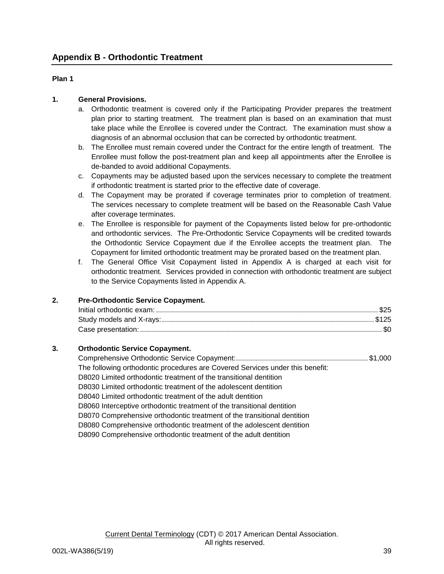## **Plan 1**

## **1. General Provisions.**

- a. Orthodontic treatment is covered only if the Participating Provider prepares the treatment plan prior to starting treatment. The treatment plan is based on an examination that must take place while the Enrollee is covered under the Contract. The examination must show a diagnosis of an abnormal occlusion that can be corrected by orthodontic treatment.
- b. The Enrollee must remain covered under the Contract for the entire length of treatment. The Enrollee must follow the post-treatment plan and keep all appointments after the Enrollee is de-banded to avoid additional Copayments.
- c. Copayments may be adjusted based upon the services necessary to complete the treatment if orthodontic treatment is started prior to the effective date of coverage.
- d. The Copayment may be prorated if coverage terminates prior to completion of treatment. The services necessary to complete treatment will be based on the Reasonable Cash Value after coverage terminates.
- e. The Enrollee is responsible for payment of the Copayments listed below for pre-orthodontic and orthodontic services. The Pre-Orthodontic Service Copayments will be credited towards the Orthodontic Service Copayment due if the Enrollee accepts the treatment plan. The Copayment for limited orthodontic treatment may be prorated based on the treatment plan.
- f. The General Office Visit Copayment listed in Appendix A is charged at each visit for orthodontic treatment. Services provided in connection with orthodontic treatment are subject to the Service Copayments listed in Appendix A.

## **2. Pre-Orthodontic Service Copayment.**

### **3. Orthodontic Service Copayment.**

| The following orthodontic procedures are Covered Services under this benefit: |  |
|-------------------------------------------------------------------------------|--|
| D8020 Limited orthodontic treatment of the transitional dentition             |  |
| D8030 Limited orthodontic treatment of the adolescent dentition               |  |
| D8040 Limited orthodontic treatment of the adult dentition                    |  |
| D8060 Interceptive orthodontic treatment of the transitional dentition        |  |
| D8070 Comprehensive orthodontic treatment of the transitional dentition       |  |
| D8080 Comprehensive orthodontic treatment of the adolescent dentition         |  |
| D8090 Comprehensive orthodontic treatment of the adult dentition              |  |
|                                                                               |  |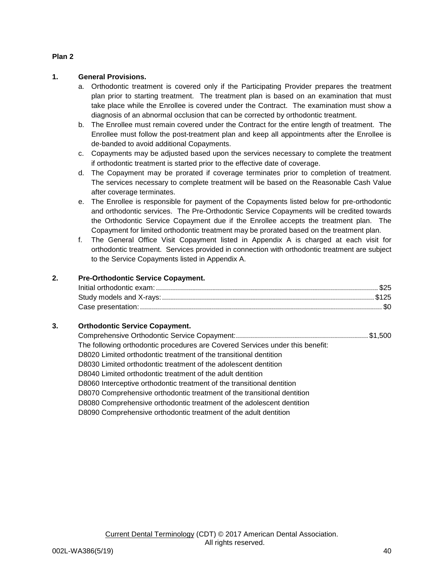## **Plan 2**

## **1. General Provisions.**

- a. Orthodontic treatment is covered only if the Participating Provider prepares the treatment plan prior to starting treatment. The treatment plan is based on an examination that must take place while the Enrollee is covered under the Contract. The examination must show a diagnosis of an abnormal occlusion that can be corrected by orthodontic treatment.
- b. The Enrollee must remain covered under the Contract for the entire length of treatment. The Enrollee must follow the post-treatment plan and keep all appointments after the Enrollee is de-banded to avoid additional Copayments.
- c. Copayments may be adjusted based upon the services necessary to complete the treatment if orthodontic treatment is started prior to the effective date of coverage.
- d. The Copayment may be prorated if coverage terminates prior to completion of treatment. The services necessary to complete treatment will be based on the Reasonable Cash Value after coverage terminates.
- e. The Enrollee is responsible for payment of the Copayments listed below for pre-orthodontic and orthodontic services. The Pre-Orthodontic Service Copayments will be credited towards the Orthodontic Service Copayment due if the Enrollee accepts the treatment plan. The Copayment for limited orthodontic treatment may be prorated based on the treatment plan.
- f. The General Office Visit Copayment listed in Appendix A is charged at each visit for orthodontic treatment. Services provided in connection with orthodontic treatment are subject to the Service Copayments listed in Appendix A.

## **2. Pre-Orthodontic Service Copayment.**

## **3. Orthodontic Service Copayment.**

| The following orthodontic procedures are Covered Services under this benefit: |  |
|-------------------------------------------------------------------------------|--|
| D8020 Limited orthodontic treatment of the transitional dentition             |  |
| D8030 Limited orthodontic treatment of the adolescent dentition               |  |
| D8040 Limited orthodontic treatment of the adult dentition                    |  |
| D8060 Interceptive orthodontic treatment of the transitional dentition        |  |
| D8070 Comprehensive orthodontic treatment of the transitional dentition       |  |
| D8080 Comprehensive orthodontic treatment of the adolescent dentition         |  |
| D8090 Comprehensive orthodontic treatment of the adult dentition              |  |
|                                                                               |  |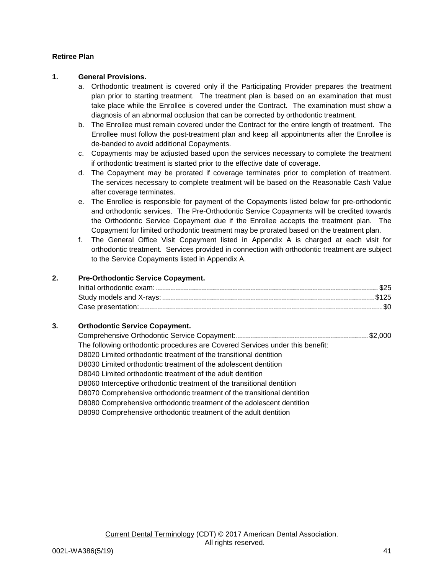## **Retiree Plan**

## **1. General Provisions.**

- a. Orthodontic treatment is covered only if the Participating Provider prepares the treatment plan prior to starting treatment. The treatment plan is based on an examination that must take place while the Enrollee is covered under the Contract. The examination must show a diagnosis of an abnormal occlusion that can be corrected by orthodontic treatment.
- b. The Enrollee must remain covered under the Contract for the entire length of treatment. The Enrollee must follow the post-treatment plan and keep all appointments after the Enrollee is de-banded to avoid additional Copayments.
- c. Copayments may be adjusted based upon the services necessary to complete the treatment if orthodontic treatment is started prior to the effective date of coverage.
- d. The Copayment may be prorated if coverage terminates prior to completion of treatment. The services necessary to complete treatment will be based on the Reasonable Cash Value after coverage terminates.
- e. The Enrollee is responsible for payment of the Copayments listed below for pre-orthodontic and orthodontic services. The Pre-Orthodontic Service Copayments will be credited towards the Orthodontic Service Copayment due if the Enrollee accepts the treatment plan. The Copayment for limited orthodontic treatment may be prorated based on the treatment plan.
- f. The General Office Visit Copayment listed in Appendix A is charged at each visit for orthodontic treatment. Services provided in connection with orthodontic treatment are subject to the Service Copayments listed in Appendix A.

## **2. Pre-Orthodontic Service Copayment.**

## **3. Orthodontic Service Copayment.**

| The following orthodontic procedures are Covered Services under this benefit: |  |
|-------------------------------------------------------------------------------|--|
| D8020 Limited orthodontic treatment of the transitional dentition             |  |
| D8030 Limited orthodontic treatment of the adolescent dentition               |  |
| D8040 Limited orthodontic treatment of the adult dentition                    |  |
| D8060 Interceptive orthodontic treatment of the transitional dentition        |  |
| D8070 Comprehensive orthodontic treatment of the transitional dentition       |  |
| D8080 Comprehensive orthodontic treatment of the adolescent dentition         |  |
| D8090 Comprehensive orthodontic treatment of the adult dentition              |  |
|                                                                               |  |